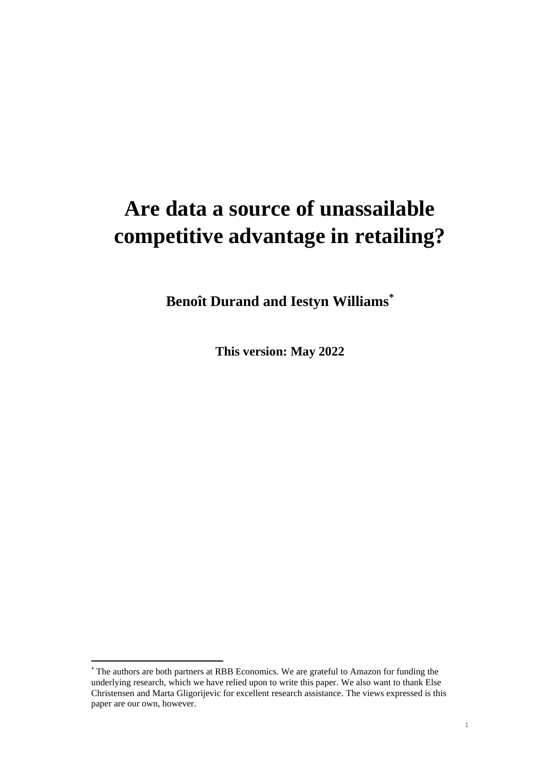# **Are data a source of unassailable competitive advantage in retailing?**

**Benoît Durand and Iestyn Williams\***

**This version: May 2022**

<sup>\*</sup> The authors are both partners at RBB Economics. We are grateful to Amazon for funding the underlying research, which we have relied upon to write this paper. We also want to thank Else Christensen and Marta Gligorijevic for excellent research assistance. The views expressed is this paper are our own, however.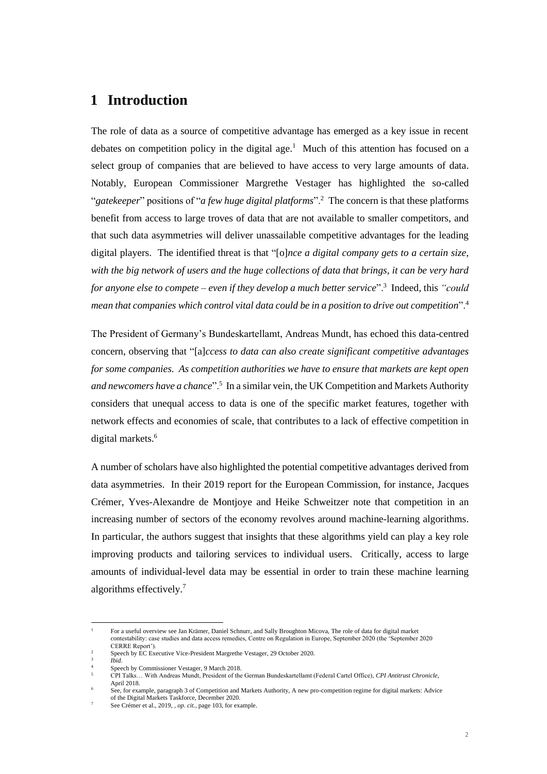# **1 Introduction**

The role of data as a source of competitive advantage has emerged as a key issue in recent debates on competition policy in the digital age.<sup>1</sup> Much of this attention has focused on a select group of companies that are believed to have access to very large amounts of data. Notably, European Commissioner Margrethe Vestager has highlighted the so-called "*gatekeeper*" positions of "*a few huge digital platforms*".<sup>2</sup> The concern is that these platforms benefit from access to large troves of data that are not available to smaller competitors, and that such data asymmetries will deliver unassailable competitive advantages for the leading digital players. The identified threat is that "[o]*nce a digital company gets to a certain size, with the big network of users and the huge collections of data that brings, it can be very hard for anyone else to compete – even if they develop a much better service*".<sup>3</sup> Indeed, this *"could mean that companies which control vital data could be in a position to drive out competition*".<sup>4</sup>

The President of Germany's Bundeskartellamt, Andreas Mundt, has echoed this data-centred concern, observing that "[a]*ccess to data can also create significant competitive advantages for some companies. As competition authorities we have to ensure that markets are kept open and newcomers have a chance*".<sup>5</sup> In a similar vein, the UK Competition and Markets Authority considers that unequal access to data is one of the specific market features, together with network effects and economies of scale, that contributes to a lack of effective competition in digital markets.<sup>6</sup>

A number of scholars have also highlighted the potential competitive advantages derived from data asymmetries. In their 2019 report for the European Commission, for instance, Jacques Crémer, Yves-Alexandre de Montjoye and Heike Schweitzer note that competition in an increasing number of sectors of the economy revolves around machine-learning algorithms. In particular, the authors suggest that insights that these algorithms yield can play a key role improving products and tailoring services to individual users. Critically, access to large amounts of individual-level data may be essential in order to train these machine learning algorithms effectively.<sup>7</sup>

<sup>1</sup> For a useful overview see Jan Krämer, Daniel Schnurr, and Sally Broughton Micova, The role of data for digital market contestability: case studies and data access remedies, Centre on Regulation in Europe, September 2020 (the 'September 2020

CERRE Report'). <sup>2</sup> Speech by EC Executive Vice-President Margrethe Vestager, 29 October 2020.

<sup>3</sup> *Ibid*.

<sup>4</sup> Speech by Commissioner Vestager, 9 March 2018.

<sup>5</sup> CPI Talks… With Andreas Mundt, President of the German Bundeskartellamt (Federal Cartel Office), *CPI Antitrust Chronicle*, April 2018.

<sup>6</sup> See, for example, paragraph 3 of Competition and Markets Authority, A new pro-competition regime for digital markets: Advice of the Digital Markets Taskforce, December 2020. <sup>7</sup> See Crémer et al., 2019, *, op. cit.,* page 103, for example.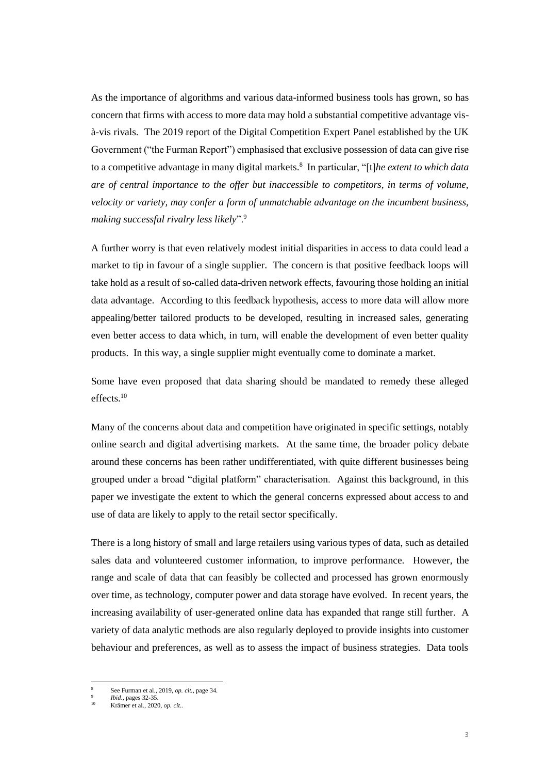As the importance of algorithms and various data-informed business tools has grown, so has concern that firms with access to more data may hold a substantial competitive advantage visà-vis rivals. The 2019 report of the Digital Competition Expert Panel established by the UK Government ("the Furman Report") emphasised that exclusive possession of data can give rise to a competitive advantage in many digital markets.<sup>8</sup> In particular, "[t]*he extent to which data are of central importance to the offer but inaccessible to competitors, in terms of volume, velocity or variety, may confer a form of unmatchable advantage on the incumbent business, making successful rivalry less likely*".<sup>9</sup>

A further worry is that even relatively modest initial disparities in access to data could lead a market to tip in favour of a single supplier. The concern is that positive feedback loops will take hold as a result of so-called data-driven network effects, favouring those holding an initial data advantage. According to this feedback hypothesis, access to more data will allow more appealing/better tailored products to be developed, resulting in increased sales, generating even better access to data which, in turn, will enable the development of even better quality products. In this way, a single supplier might eventually come to dominate a market.

Some have even proposed that data sharing should be mandated to remedy these alleged effects.<sup>10</sup>

Many of the concerns about data and competition have originated in specific settings, notably online search and digital advertising markets. At the same time, the broader policy debate around these concerns has been rather undifferentiated, with quite different businesses being grouped under a broad "digital platform" characterisation. Against this background, in this paper we investigate the extent to which the general concerns expressed about access to and use of data are likely to apply to the retail sector specifically.

There is a long history of small and large retailers using various types of data, such as detailed sales data and volunteered customer information, to improve performance. However, the range and scale of data that can feasibly be collected and processed has grown enormously over time, as technology, computer power and data storage have evolved. In recent years, the increasing availability of user-generated online data has expanded that range still further. A variety of data analytic methods are also regularly deployed to provide insights into customer behaviour and preferences, as well as to assess the impact of business strategies. Data tools

<sup>8</sup> See Furman et al., 2019, *op. cit.*, page 34.

<sup>9</sup> *Ibid*., pages 32-35.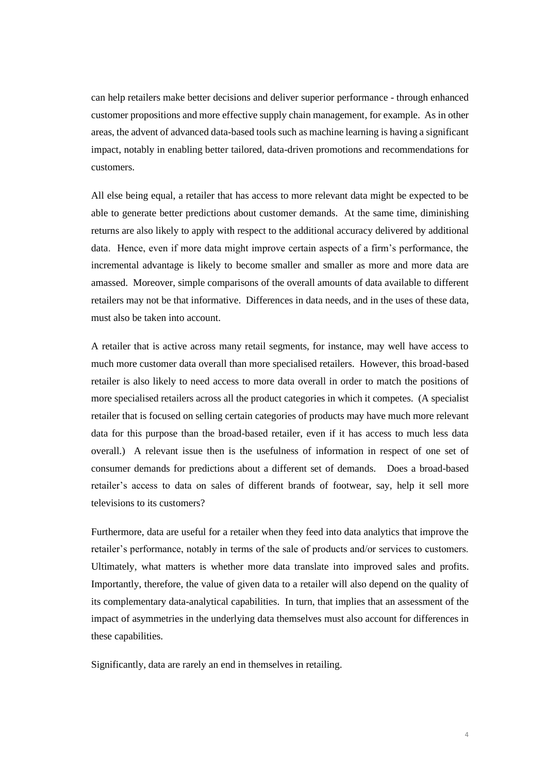can help retailers make better decisions and deliver superior performance - through enhanced customer propositions and more effective supply chain management, for example. As in other areas, the advent of advanced data-based tools such as machine learning is having a significant impact, notably in enabling better tailored, data-driven promotions and recommendations for customers.

All else being equal, a retailer that has access to more relevant data might be expected to be able to generate better predictions about customer demands. At the same time, diminishing returns are also likely to apply with respect to the additional accuracy delivered by additional data. Hence, even if more data might improve certain aspects of a firm's performance, the incremental advantage is likely to become smaller and smaller as more and more data are amassed. Moreover, simple comparisons of the overall amounts of data available to different retailers may not be that informative. Differences in data needs, and in the uses of these data, must also be taken into account.

A retailer that is active across many retail segments, for instance, may well have access to much more customer data overall than more specialised retailers. However, this broad-based retailer is also likely to need access to more data overall in order to match the positions of more specialised retailers across all the product categories in which it competes. (A specialist retailer that is focused on selling certain categories of products may have much more relevant data for this purpose than the broad-based retailer, even if it has access to much less data overall.) A relevant issue then is the usefulness of information in respect of one set of consumer demands for predictions about a different set of demands. Does a broad-based retailer's access to data on sales of different brands of footwear, say, help it sell more televisions to its customers?

Furthermore, data are useful for a retailer when they feed into data analytics that improve the retailer's performance, notably in terms of the sale of products and/or services to customers. Ultimately, what matters is whether more data translate into improved sales and profits. Importantly, therefore, the value of given data to a retailer will also depend on the quality of its complementary data-analytical capabilities. In turn, that implies that an assessment of the impact of asymmetries in the underlying data themselves must also account for differences in these capabilities.

Significantly, data are rarely an end in themselves in retailing.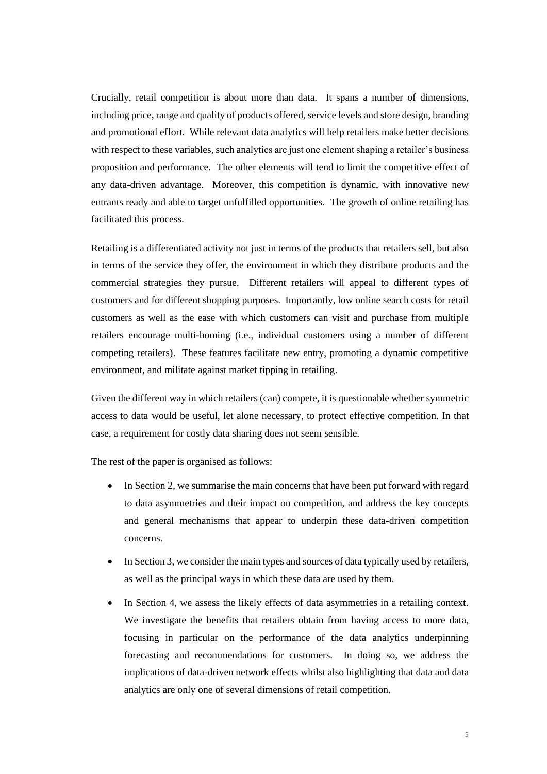Crucially, retail competition is about more than data. It spans a number of dimensions, including price, range and quality of products offered, service levels and store design, branding and promotional effort. While relevant data analytics will help retailers make better decisions with respect to these variables, such analytics are just one element shaping a retailer's business proposition and performance. The other elements will tend to limit the competitive effect of any data-driven advantage. Moreover, this competition is dynamic, with innovative new entrants ready and able to target unfulfilled opportunities. The growth of online retailing has facilitated this process.

Retailing is a differentiated activity not just in terms of the products that retailers sell, but also in terms of the service they offer, the environment in which they distribute products and the commercial strategies they pursue. Different retailers will appeal to different types of customers and for different shopping purposes. Importantly, low online search costs for retail customers as well as the ease with which customers can visit and purchase from multiple retailers encourage multi-homing (i.e., individual customers using a number of different competing retailers). These features facilitate new entry, promoting a dynamic competitive environment, and militate against market tipping in retailing.

Given the different way in which retailers (can) compete, it is questionable whether symmetric access to data would be useful, let alone necessary, to protect effective competition. In that case, a requirement for costly data sharing does not seem sensible.

The rest of the paper is organised as follows:

- In Section 2, we summarise the main concerns that have been put forward with regard to data asymmetries and their impact on competition, and address the key concepts and general mechanisms that appear to underpin these data-driven competition concerns.
- In Section 3, we consider the main types and sources of data typically used by retailers, as well as the principal ways in which these data are used by them.
- In Section 4, we assess the likely effects of data asymmetries in a retailing context. We investigate the benefits that retailers obtain from having access to more data, focusing in particular on the performance of the data analytics underpinning forecasting and recommendations for customers. In doing so, we address the implications of data-driven network effects whilst also highlighting that data and data analytics are only one of several dimensions of retail competition.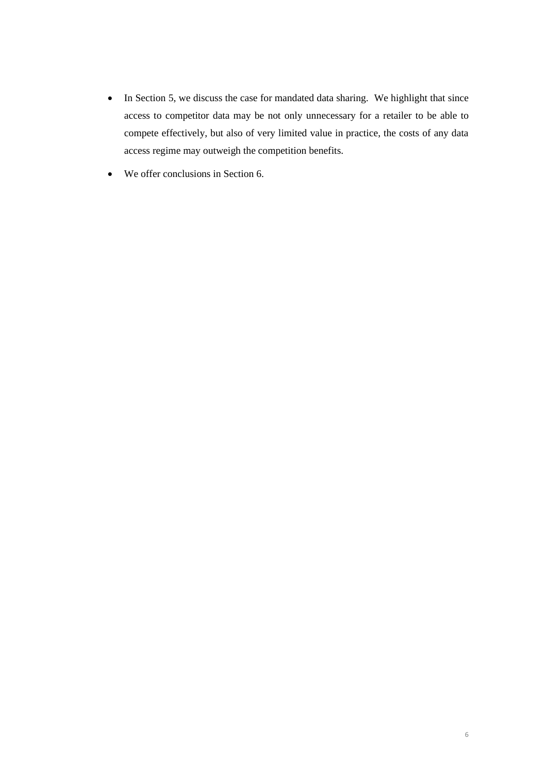- In Section 5, we discuss the case for mandated data sharing. We highlight that since access to competitor data may be not only unnecessary for a retailer to be able to compete effectively, but also of very limited value in practice, the costs of any data access regime may outweigh the competition benefits.
- We offer conclusions in Section 6.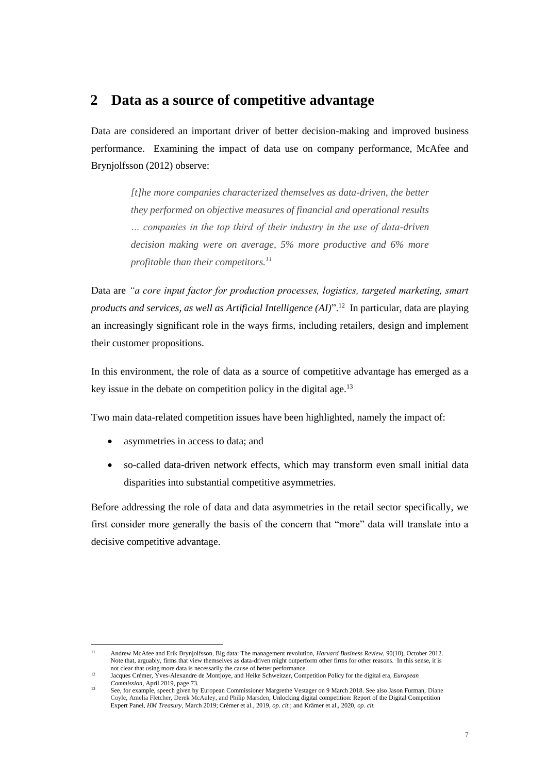# **2 Data as a source of competitive advantage**

Data are considered an important driver of better decision-making and improved business performance. Examining the impact of data use on company performance, McAfee and Brynjolfsson (2012) observe:

> *[t]he more companies characterized themselves as data-driven, the better they performed on objective measures of financial and operational results … companies in the top third of their industry in the use of data-driven decision making were on average, 5% more productive and 6% more profitable than their competitors.<sup>11</sup>*

Data are *"a core input factor for production processes, logistics, targeted marketing, smart products and services, as well as Artificial Intelligence (AI)*".<sup>12</sup> In particular, data are playing an increasingly significant role in the ways firms, including retailers, design and implement their customer propositions.

In this environment, the role of data as a source of competitive advantage has emerged as a key issue in the debate on competition policy in the digital age.<sup>13</sup>

Two main data-related competition issues have been highlighted, namely the impact of:

- asymmetries in access to data; and
- so-called data-driven network effects, which may transform even small initial data disparities into substantial competitive asymmetries.

Before addressing the role of data and data asymmetries in the retail sector specifically, we first consider more generally the basis of the concern that "more" data will translate into a decisive competitive advantage.

<sup>11</sup> Andrew McAfee and Erik Brynjolfsson, Big data: The management revolution, *Harvard Business Review*, 90(10), October 2012. Note that, arguably, firms that view themselves as data-driven might outperform other firms for other reasons. In this sense, it is not clear that using more data is necessarily the cause of better performance.

<sup>12</sup> Jacques Crémer, Yves-Alexandre de Montjoye, and Heike Schweitzer, Competition Policy for the digital era, *European Commission*, April 2019, page 73.

<sup>13</sup> See, for example, speech given by European Commissioner Margrethe Vestager on 9 March 2018. See also Jason Furman, Diane Coyle, Amelia Fletcher, Derek McAuley, and Philip Marsden, Unlocking digital competition: Report of the Digital Competition Expert Panel, *HM Treasury,* March 2019; Crémer et al., 2019, *op. cit.*; and Krämer et al., 2020, *op. cit.*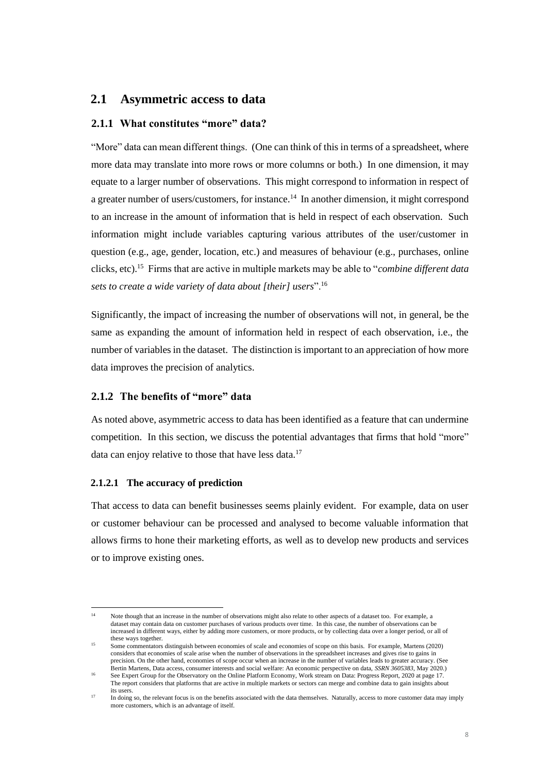# **2.1 Asymmetric access to data**

#### **2.1.1 What constitutes "more" data?**

"More" data can mean different things. (One can think of this in terms of a spreadsheet, where more data may translate into more rows or more columns or both.) In one dimension, it may equate to a larger number of observations. This might correspond to information in respect of a greater number of users/customers, for instance.<sup>14</sup> In another dimension, it might correspond to an increase in the amount of information that is held in respect of each observation. Such information might include variables capturing various attributes of the user/customer in question (e.g., age, gender, location, etc.) and measures of behaviour (e.g., purchases, online clicks, etc).<sup>15</sup> Firms that are active in multiple markets may be able to "*combine different data sets to create a wide variety of data about [their] users*".<sup>16</sup>

Significantly, the impact of increasing the number of observations will not, in general, be the same as expanding the amount of information held in respect of each observation, i.e., the number of variables in the dataset. The distinction is important to an appreciation of how more data improves the precision of analytics.

# **2.1.2 The benefits of "more" data**

As noted above, asymmetric access to data has been identified as a feature that can undermine competition. In this section, we discuss the potential advantages that firms that hold "more" data can enjoy relative to those that have less data.<sup>17</sup>

#### **2.1.2.1 The accuracy of prediction**

That access to data can benefit businesses seems plainly evident. For example, data on user or customer behaviour can be processed and analysed to become valuable information that allows firms to hone their marketing efforts, as well as to develop new products and services or to improve existing ones.

Note though that an increase in the number of observations might also relate to other aspects of a dataset too. For example, a dataset may contain data on customer purchases of various products over time. In this case, the number of observations can be increased in different ways, either by adding more customers, or more products, or by collecting data over a longer period, or all of these ways together.

<sup>15</sup> Some commentators distinguish between economies of scale and economies of scope on this basis. For example, Martens (2020) considers that economies of scale arise when the number of observations in the spreadsheet increases and gives rise to gains in precision. On the other hand, economies of scope occur when an increase in the number of variables leads to greater accuracy. (See Bertin Martens, Data access, consumer interests and social welfare: An economic perspective on data, *SSRN 3605383*, May 2020.)

<sup>16</sup> See Expert Group for the Observatory on the Online Platform Economy, Work stream on Data: Progress Report, 2020 at page 17. The report considers that platforms that are active in multiple markets or sectors can merge and combine data to gain insights about its users.

<sup>17</sup> In doing so, the relevant focus is on the benefits associated with the data themselves. Naturally, access to more customer data may imply more customers, which is an advantage of itself.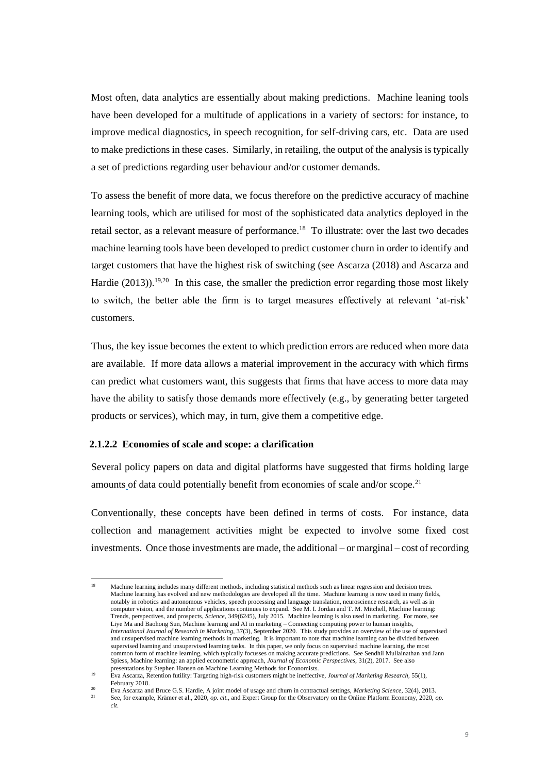Most often, data analytics are essentially about making predictions. Machine leaning tools have been developed for a multitude of applications in a variety of sectors: for instance, to improve medical diagnostics, in speech recognition, for self-driving cars, etc. Data are used to make predictions in these cases. Similarly, in retailing, the output of the analysis is typically a set of predictions regarding user behaviour and/or customer demands.

To assess the benefit of more data, we focus therefore on the predictive accuracy of machine learning tools, which are utilised for most of the sophisticated data analytics deployed in the retail sector, as a relevant measure of performance.<sup>18</sup> To illustrate: over the last two decades machine learning tools have been developed to predict customer churn in order to identify and target customers that have the highest risk of switching (see Ascarza (2018) and Ascarza and Hardie  $(2013)$ ).<sup>19,20</sup> In this case, the smaller the prediction error regarding those most likely to switch, the better able the firm is to target measures effectively at relevant 'at-risk' customers.

Thus, the key issue becomes the extent to which prediction errors are reduced when more data are available. If more data allows a material improvement in the accuracy with which firms can predict what customers want, this suggests that firms that have access to more data may have the ability to satisfy those demands more effectively (e.g., by generating better targeted products or services), which may, in turn, give them a competitive edge.

#### **2.1.2.2 Economies of scale and scope: a clarification**

Several policy papers on data and digital platforms have suggested that firms holding large amounts of data could potentially benefit from economies of scale and/or scope.<sup>21</sup>

Conventionally, these concepts have been defined in terms of costs. For instance, data collection and management activities might be expected to involve some fixed cost investments. Once those investments are made, the additional – or marginal – cost of recording

<sup>18</sup> Machine learning includes many different methods, including statistical methods such as linear regression and decision trees. Machine learning has evolved and new methodologies are developed all the time. Machine learning is now used in many fields, notably in robotics and autonomous vehicles, speech processing and language translation, neuroscience research, as well as in computer vision, and the number of applications continues to expand. See M. I. Jordan and T. M. Mitchell, Machine learning: Trends, perspectives, and prospects, *Science*, 349(6245)*,* July 2015. Machine learning is also used in marketing. For more, see Liye Ma and Baohong Sun, Machine learning and AI in marketing – Connecting computing power to human insights, *International Journal of Research in Marketing*, 37(3), September 2020. This study provides an overview of the use of supervised and unsupervised machine learning methods in marketing. It is important to note that machine learning can be divided between supervised learning and unsupervised learning tasks. In this paper, we only focus on supervised machine learning, the most common form of machine learning, which typically focusses on making accurate predictions. See Sendhil Mullainathan and Jann Spiess, Machine learning: an applied econometric approach, *Journal of Economic Perspectives*, 31(2), 2017. See also presentations by Stephen Hansen on Machine Learning Methods for Economists.

<sup>19</sup> Eva Ascarza, Retention futility: Targeting high-risk customers might be ineffective, *Journal of Marketing Research,* 55(1), February 2018. 20

Eva Ascarza and Bruce G.S. Hardie, A joint model of usage and churn in contractual settings, *Marketing Science,* 32(4), 2013. <sup>21</sup> See, for example, Krämer et al., 2020, *op. cit.,* and Expert Group for the Observatory on the Online Platform Economy, 2020, *op. cit*.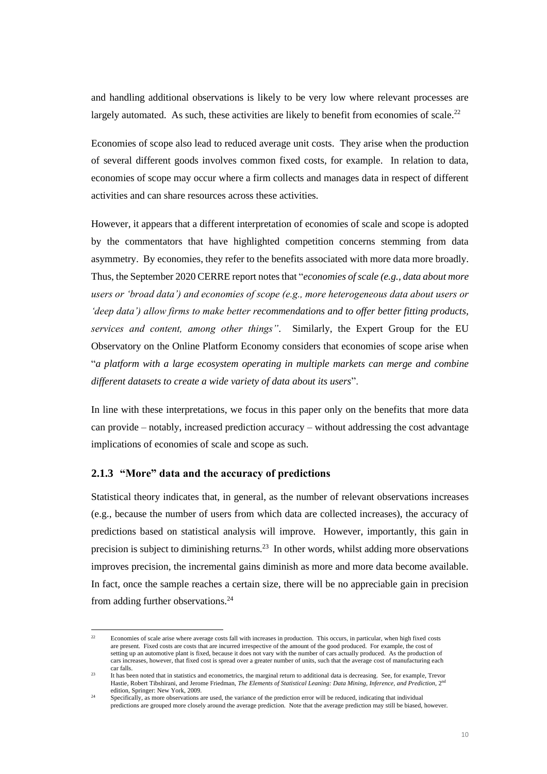and handling additional observations is likely to be very low where relevant processes are largely automated. As such, these activities are likely to benefit from economies of scale.<sup>22</sup>

Economies of scope also lead to reduced average unit costs. They arise when the production of several different goods involves common fixed costs, for example. In relation to data, economies of scope may occur where a firm collects and manages data in respect of different activities and can share resources across these activities.

However, it appears that a different interpretation of economies of scale and scope is adopted by the commentators that have highlighted competition concerns stemming from data asymmetry. By economies, they refer to the benefits associated with more data more broadly. Thus, the September 2020 CERRE report notes that "*economies of scale (e.g., data about more users or 'broad data') and economies of scope (e.g., more heterogeneous data about users or 'deep data') allow firms to make better recommendations and to offer better fitting products, services and content, among other things"*. Similarly, the Expert Group for the EU Observatory on the Online Platform Economy considers that economies of scope arise when "*a platform with a large ecosystem operating in multiple markets can merge and combine different datasets to create a wide variety of data about its users*".

In line with these interpretations, we focus in this paper only on the benefits that more data can provide – notably, increased prediction accuracy – without addressing the cost advantage implications of economies of scale and scope as such.

## **2.1.3 "More" data and the accuracy of predictions**

Statistical theory indicates that, in general, as the number of relevant observations increases (e.g., because the number of users from which data are collected increases), the accuracy of predictions based on statistical analysis will improve. However, importantly, this gain in precision is subject to diminishing returns.<sup>23</sup> In other words, whilst adding more observations improves precision, the incremental gains diminish as more and more data become available. In fact, once the sample reaches a certain size, there will be no appreciable gain in precision from adding further observations.<sup>24</sup>

<sup>&</sup>lt;sup>22</sup> Economies of scale arise where average costs fall with increases in production. This occurs, in particular, when high fixed costs are present. Fixed costs are costs that are incurred irrespective of the amount of the good produced. For example, the cost of setting up an automotive plant is fixed, because it does not vary with the number of cars actually produced. As the production of cars increases, however, that fixed cost is spread over a greater number of units, such that the average cost of manufacturing each car falls.

<sup>23</sup> It has been noted that in statistics and econometrics, the marginal return to additional data is decreasing. See, for example, Trevor Hastie, Robert Tibshirani, and Jerome Friedman, *The Elements of Statistical Leaning: Data Mining, Inference, and Prediction*, 2nd edition, Springer: New York, 2009.

Specifically, as more observations are used, the variance of the prediction error will be reduced, indicating that individual predictions are grouped more closely around the average prediction. Note that the average prediction may still be biased, however.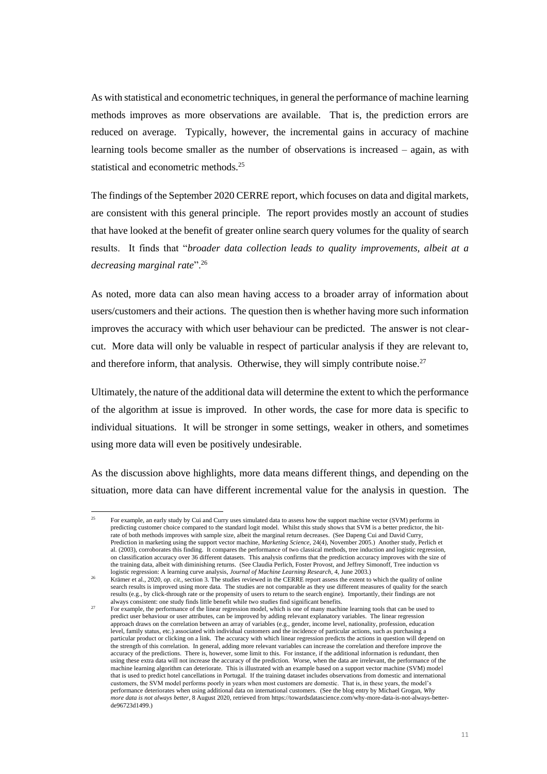As with statistical and econometric techniques, in general the performance of machine learning methods improves as more observations are available. That is, the prediction errors are reduced on average. Typically, however, the incremental gains in accuracy of machine learning tools become smaller as the number of observations is increased – again, as with statistical and econometric methods.<sup>25</sup>

The findings of the September 2020 CERRE report, which focuses on data and digital markets, are consistent with this general principle. The report provides mostly an account of studies that have looked at the benefit of greater online search query volumes for the quality of search results. It finds that "*broader data collection leads to quality improvements, albeit at a decreasing marginal rate*".<sup>26</sup>

As noted, more data can also mean having access to a broader array of information about users/customers and their actions. The question then is whether having more such information improves the accuracy with which user behaviour can be predicted. The answer is not clearcut. More data will only be valuable in respect of particular analysis if they are relevant to, and therefore inform, that analysis. Otherwise, they will simply contribute noise.<sup>27</sup>

Ultimately, the nature of the additional data will determine the extent to which the performance of the algorithm at issue is improved. In other words, the case for more data is specific to individual situations. It will be stronger in some settings, weaker in others, and sometimes using more data will even be positively undesirable.

As the discussion above highlights, more data means different things, and depending on the situation, more data can have different incremental value for the analysis in question. The

<sup>&</sup>lt;sup>25</sup> For example, an early study by Cui and Curry uses simulated data to assess how the support machine vector (SVM) performs in predicting customer choice compared to the standard logit model. Whilst this study shows that SVM is a better predictor, the hitrate of both methods improves with sample size, albeit the marginal return decreases. (See Dapeng Cui and David Curry, Prediction in marketing using the support vector machine, *Marketing Science*, 24(4), November 2005.) Another study, Perlich et al. (2003), corroborates this finding. It compares the performance of two classical methods, tree induction and logistic regression, on classification accuracy over 36 different datasets. This analysis confirms that the prediction accuracy improves with the size of the training data, albeit with diminishing returns. (See Claudia Perlich, Foster Provost, and Jeffrey Simonoff, Tree induction vs logistic regression: A learning curve analysis, *Journal of Machine Learning Research,* 4, June 2003.)

<sup>26</sup> Krämer et al., 2020*, op. cit.,* section 3. The studies reviewed in the CERRE report assess the extent to which the quality of online search results is improved using more data. The studies are not comparable as they use different measures of quality for the search results (e.g., by click-through rate or the propensity of users to return to the search engine). Importantly, their findings are not always consistent: one study finds little benefit while two studies find significant benefits.

<sup>27</sup> For example, the performance of the linear regression model, which is one of many machine learning tools that can be used to predict user behaviour or user attributes, can be improved by adding relevant explanatory variables. The linear regression approach draws on the correlation between an array of variables (e.g., gender, income level, nationality, profession, education level, family status, etc.) associated with individual customers and the incidence of particular actions, such as purchasing a particular product or clicking on a link. The accuracy with which linear regression predicts the actions in question will depend on the strength of this correlation. In general, adding more relevant variables can increase the correlation and therefore improve the accuracy of the predictions. There is, however, some limit to this. For instance, if the additional information is redundant, then using these extra data will not increase the accuracy of the prediction. Worse, when the data are irrelevant, the performance of the machine learning algorithm can deteriorate. This is illustrated with an example based on a support vector machine (SVM) model that is used to predict hotel cancellations in Portugal. If the training dataset includes observations from domestic and international customers, the SVM model performs poorly in years when most customers are domestic. That is, in these years, the model's performance deteriorates when using additional data on international customers. (See the blog entry by Michael Grogan, *Why more data is not always better*, 8 August 2020, retrieved from https://towardsdatascience.com/why-more-data-is-not-always-betterde96723d1499.)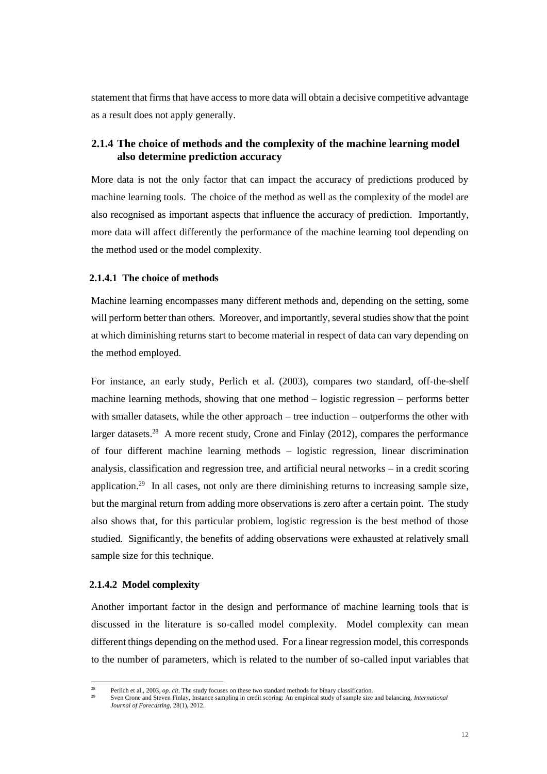statement that firms that have access to more data will obtain a decisive competitive advantage as a result does not apply generally.

# **2.1.4 The choice of methods and the complexity of the machine learning model also determine prediction accuracy**

More data is not the only factor that can impact the accuracy of predictions produced by machine learning tools. The choice of the method as well as the complexity of the model are also recognised as important aspects that influence the accuracy of prediction. Importantly, more data will affect differently the performance of the machine learning tool depending on the method used or the model complexity.

#### **2.1.4.1 The choice of methods**

Machine learning encompasses many different methods and, depending on the setting, some will perform better than others. Moreover, and importantly, several studies show that the point at which diminishing returns start to become material in respect of data can vary depending on the method employed.

For instance, an early study, Perlich et al. (2003), compares two standard, off-the-shelf machine learning methods, showing that one method – logistic regression – performs better with smaller datasets, while the other approach – tree induction – outperforms the other with larger datasets.<sup>28</sup> A more recent study, Crone and Finlay (2012), compares the performance of four different machine learning methods – logistic regression, linear discrimination analysis, classification and regression tree, and artificial neural networks – in a credit scoring application.<sup>29</sup> In all cases, not only are there diminishing returns to increasing sample size, but the marginal return from adding more observations is zero after a certain point. The study also shows that, for this particular problem, logistic regression is the best method of those studied. Significantly, the benefits of adding observations were exhausted at relatively small sample size for this technique.

#### **2.1.4.2 Model complexity**

Another important factor in the design and performance of machine learning tools that is discussed in the literature is so-called model complexity. Model complexity can mean different things depending on the method used. For a linear regression model, this corresponds to the number of parameters, which is related to the number of so-called input variables that

<sup>28</sup> Perlich et al., 2003*, op. cit*. The study focuses on these two standard methods for binary classification.

<sup>29</sup> Sven Crone and Steven Finlay, Instance sampling in credit scoring: An empirical study of sample size and balancing, *International Journal of Forecasting,* 28(1), 2012.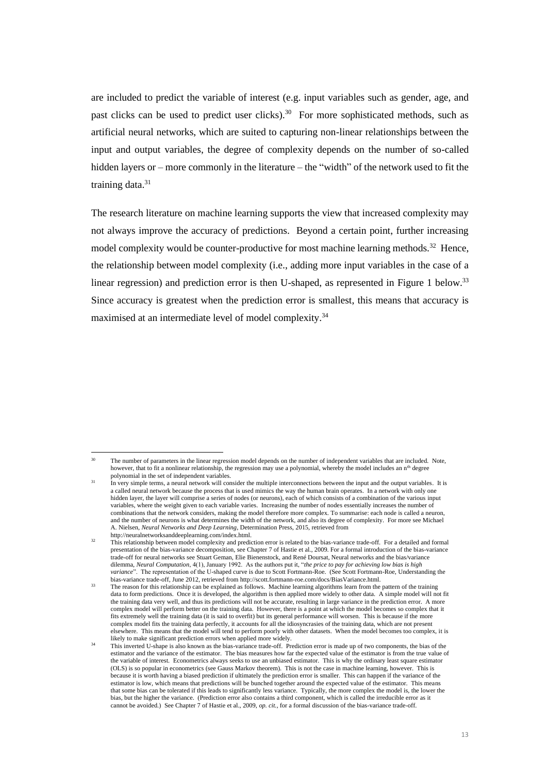are included to predict the variable of interest (e.g. input variables such as gender, age, and past clicks can be used to predict user clicks).<sup>30</sup> For more sophisticated methods, such as artificial neural networks, which are suited to capturing non-linear relationships between the input and output variables, the degree of complexity depends on the number of so-called hidden layers or – more commonly in the literature – the "width" of the network used to fit the training data.<sup>31</sup>

The research literature on machine learning supports the view that increased complexity may not always improve the accuracy of predictions. Beyond a certain point, further increasing model complexity would be counter-productive for most machine learning methods.<sup>32</sup> Hence, the relationship between model complexity (i.e., adding more input variables in the case of a linear regression) and prediction error is then U-shaped, as represented in [Figure 1](#page-13-0) below.<sup>33</sup> Since accuracy is greatest when the prediction error is smallest, this means that accuracy is maximised at an intermediate level of model complexity.<sup>34</sup>

The number of parameters in the linear regression model depends on the number of independent variables that are included. Note, however, that to fit a nonlinear relationship, the regression may use a polynomial, whereby the model includes an n<sup>th</sup> degree polynomial in the set of independent variables.

<sup>31</sup> In very simple terms, a neural network will consider the multiple interconnections between the input and the output variables. It is a called neural network because the process that is used mimics the way the human brain operates. In a network with only one hidden layer, the layer will comprise a series of nodes (or neurons), each of which consists of a combination of the various input variables, where the weight given to each variable varies. Increasing the number of nodes essentially increases the number of combinations that the network considers, making the model therefore more complex. To summarise: each node is called a neuron, and the number of neurons is what determines the width of the network, and also its degree of complexity. For more see Michael A. Nielsen, *Neural Networks and Deep Learning*, Determination Press, 2015, retrieved from http://neuralnetworksanddeeplearning.com/index.html.

This relationship between model complexity and prediction error is related to the bias-variance trade-off. For a detailed and formal presentation of the bias-variance decomposition, see Chapter 7 of Hastie et al., 2009. For a formal introduction of the bias-variance trade-off for neural networks see Stuart Geman, Elie Bienenstock, and René Doursat, Neural networks and the bias/variance dilemma, *Neural Computation*, 4(1), January 1992. As the authors put it, "*the price to pay for achieving low bias is high variance*". The representation of the U-shaped curve is due to Scott Fortmann-Roe. (See Scott Fortmann-Roe, Understanding the bias-variance trade-off, June 2012, retrieved from http://scott.fortmann-roe.com/docs/BiasVariance.html.

<sup>&</sup>lt;sup>33</sup> The reason for this relationship can be explained as follows. Machine learning algorithms learn from the pattern of the training data to form predictions. Once it is developed, the algorithm is then applied more widely to other data. A simple model will not fit the training data very well, and thus its predictions will not be accurate, resulting in large variance in the prediction error. A more complex model will perform better on the training data. However, there is a point at which the model becomes so complex that it fits extremely well the training data (it is said to overfit) but its general performance will worsen. This is because if the more complex model fits the training data perfectly, it accounts for all the idiosyncrasies of the training data, which are not present elsewhere. This means that the model will tend to perform poorly with other datasets. When the model becomes too complex, it is likely to make significant prediction errors when applied more widely.

<sup>&</sup>lt;sup>34</sup> This inverted U-shape is also known as the bias-variance trade-off. Prediction error is made up of two components, the bias of the estimator and the variance of the estimator. The bias measures how far the expected value of the estimator is from the true value of the variable of interest. Econometrics always seeks to use an unbiased estimator. This is why the ordinary least square estimator (OLS) is so popular in econometrics (see Gauss Markov theorem). This is not the case in machine learning, however. This is because it is worth having a biased prediction if ultimately the prediction error is smaller. This can happen if the variance of the estimator is low, which means that predictions will be bunched together around the expected value of the estimator. This means that some bias can be tolerated if this leads to significantly less variance. Typically, the more complex the model is, the lower the bias, but the higher the variance. (Prediction error also contains a third component, which is called the irreducible error as it cannot be avoided.) See Chapter 7 of Hastie et al., 2009, *op. cit.,* for a formal discussion of the bias-variance trade-off.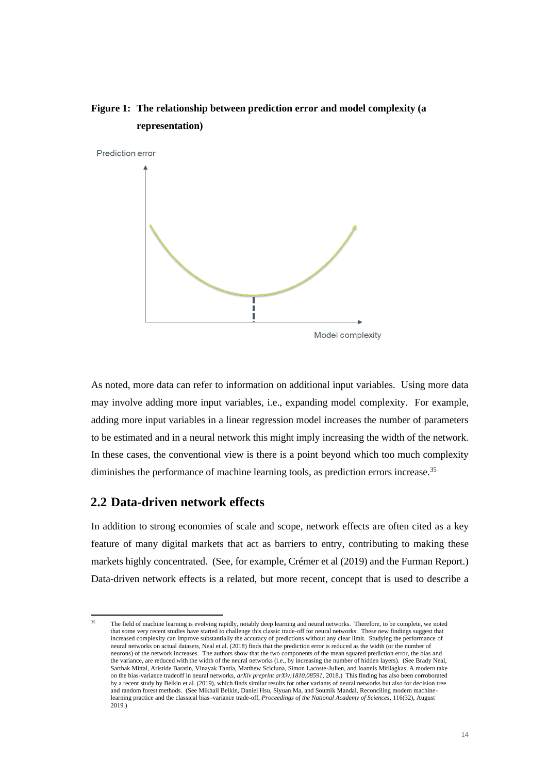# <span id="page-13-0"></span>**Figure 1: The relationship between prediction error and model complexity (a representation)**



As noted, more data can refer to information on additional input variables. Using more data may involve adding more input variables, i.e., expanding model complexity. For example, adding more input variables in a linear regression model increases the number of parameters to be estimated and in a neural network this might imply increasing the width of the network. In these cases, the conventional view is there is a point beyond which too much complexity diminishes the performance of machine learning tools, as prediction errors increase.<sup>35</sup>

# **2.2 Data-driven network effects**

In addition to strong economies of scale and scope, network effects are often cited as a key feature of many digital markets that act as barriers to entry, contributing to making these markets highly concentrated. (See, for example, Crémer et al (2019) and the Furman Report.) Data-driven network effects is a related, but more recent, concept that is used to describe a

<sup>35</sup> The field of machine learning is evolving rapidly, notably deep learning and neural networks. Therefore, to be complete, we noted that some very recent studies have started to challenge this classic trade-off for neural networks. These new findings suggest that increased complexity can improve substantially the accuracy of predictions without any clear limit. Studying the performance of neural networks on actual datasets, Neal et al. (2018) finds that the prediction error is reduced as the width (or the number of neurons) of the network increases. The authors show that the two components of the mean squared prediction error, the bias and the variance, are reduced with the width of the neural networks (i.e., by increasing the number of hidden layers). (See Brady Neal, Sarthak Mittal, Aristide Baratin, Vinayak Tantia, Matthew Scicluna, Simon Lacoste-Julien, and Ioannis Mitliagkas, A modern take on the bias-variance tradeoff in neural networks, *arXiv preprint arXiv:1810.08591*, 2018.) This finding has also been corroborated by a recent study by Belkin et al. (2019), which finds similar results for other variants of neural networks but also for decision tree and random forest methods. (See Mikhail Belkin, Daniel Hsu, Siyuan Ma, and Soumik Mandal, Reconciling modern machinelearning practice and the classical bias–variance trade-off, *Proceedings of the National Academy of Sciences*, 116(32)*,* August 2019.)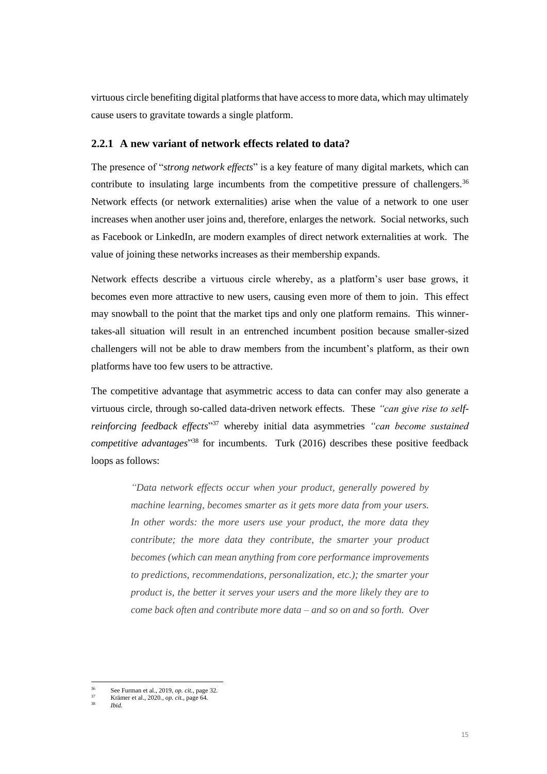virtuous circle benefiting digital platforms that have access to more data, which may ultimately cause users to gravitate towards a single platform.

## **2.2.1 A new variant of network effects related to data?**

The presence of "*strong network effects*" is a key feature of many digital markets, which can contribute to insulating large incumbents from the competitive pressure of challengers.<sup>36</sup> Network effects (or network externalities) arise when the value of a network to one user increases when another user joins and, therefore, enlarges the network. Social networks, such as Facebook or LinkedIn, are modern examples of direct network externalities at work. The value of joining these networks increases as their membership expands.

Network effects describe a virtuous circle whereby, as a platform's user base grows, it becomes even more attractive to new users, causing even more of them to join. This effect may snowball to the point that the market tips and only one platform remains. This winnertakes-all situation will result in an entrenched incumbent position because smaller-sized challengers will not be able to draw members from the incumbent's platform, as their own platforms have too few users to be attractive.

The competitive advantage that asymmetric access to data can confer may also generate a virtuous circle, through so-called data-driven network effects.These *"can give rise to selfreinforcing feedback effects*" <sup>37</sup> whereby initial data asymmetries *"can become sustained competitive advantages*" <sup>38</sup> for incumbents. Turk (2016) describes these positive feedback loops as follows:

> *"Data network effects occur when your product, generally powered by machine learning, becomes smarter as it gets more data from your users.*  In other words: the more users use your product, the more data they *contribute; the more data they contribute, the smarter your product becomes (which can mean anything from core performance improvements to predictions, recommendations, personalization, etc.); the smarter your product is, the better it serves your users and the more likely they are to come back often and contribute more data – and so on and so forth. Over*

<sup>36</sup> See Furman et al., 2019*, op. cit.*, page 32.

<sup>37</sup> Krämer et al., 2020.*, op. cit.*, page 64.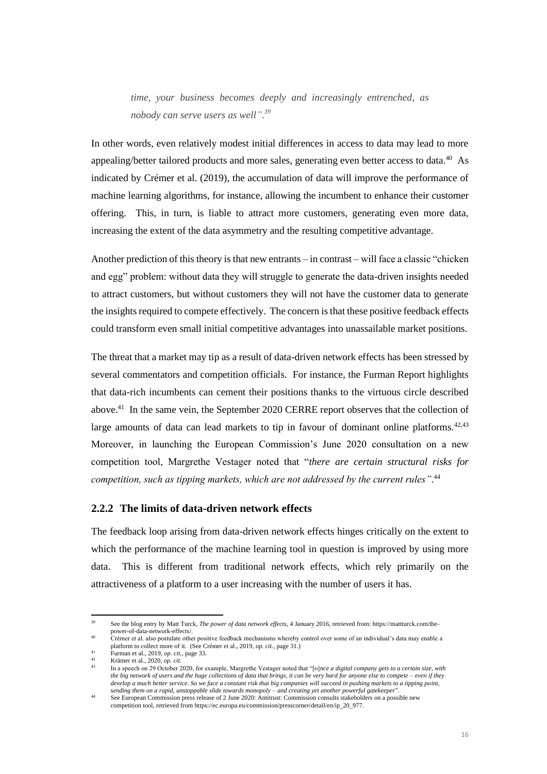*time, your business becomes deeply and increasingly entrenched, as nobody can serve users as well". 39*

In other words, even relatively modest initial differences in access to data may lead to more appealing/better tailored products and more sales, generating even better access to data.<sup>40</sup> As indicated by Crémer et al. (2019), the accumulation of data will improve the performance of machine learning algorithms, for instance, allowing the incumbent to enhance their customer offering. This, in turn, is liable to attract more customers, generating even more data, increasing the extent of the data asymmetry and the resulting competitive advantage.

Another prediction of this theory is that new entrants – in contrast – will face a classic "chicken and egg" problem: without data they will struggle to generate the data-driven insights needed to attract customers, but without customers they will not have the customer data to generate the insights required to compete effectively. The concern is that these positive feedback effects could transform even small initial competitive advantages into unassailable market positions.

The threat that a market may tip as a result of data-driven network effects has been stressed by several commentators and competition officials. For instance, the Furman Report highlights that data-rich incumbents can cement their positions thanks to the virtuous circle described above.<sup>41</sup> In the same vein, the September 2020 CERRE report observes that the collection of large amounts of data can lead markets to tip in favour of dominant online platforms.  $42,43$ Moreover, in launching the European Commission's June 2020 consultation on a new competition tool, Margrethe Vestager noted that "*there are certain structural risks for competition, such as tipping markets, which are not addressed by the current rules"*. 44

## **2.2.2 The limits of data-driven network effects**

The feedback loop arising from data-driven network effects hinges critically on the extent to which the performance of the machine learning tool in question is improved by using more data. This is different from traditional network effects, which rely primarily on the attractiveness of a platform to a user increasing with the number of users it has.

<sup>39</sup> See the blog entry by Matt Turck, *The power of data network effects*, 4 January 2016, retrieved from: https://mattturck.com/thepower-of-data-network-effects/.

<sup>40</sup> Crémer et al. also postulate other positive feedback mechanisms whereby control over some of an individual's data may enable a platform to collect more of it. (See Crémer et al., 2019, *op. cit.*, page 31.) <sup>41</sup> Furman et al., 2019*, op. cit.*, page 33.

<sup>42</sup> Krämer et al., 2020*, op. cit*.

<sup>43</sup> In a speech on 29 October 2020, for example, Margrethe Vestager noted that "[o]*nce a digital company gets to a certain size, with the big network of users and the huge collections of data that brings, it can be very hard for anyone else to compete – even if they develop a much better service. So we face a constant risk that big companies will succeed in pushing markets to a tipping point, sending them on a rapid, unstoppable slide towards monopoly – and creating yet another powerful gatekeeper*".

<sup>44</sup> See European Commission press release of 2 June 2020: Antitrust: Commission consults stakeholders on a possible new competition tool, retrieved from https://ec.europa.eu/commission/presscorner/detail/en/ip\_20\_977.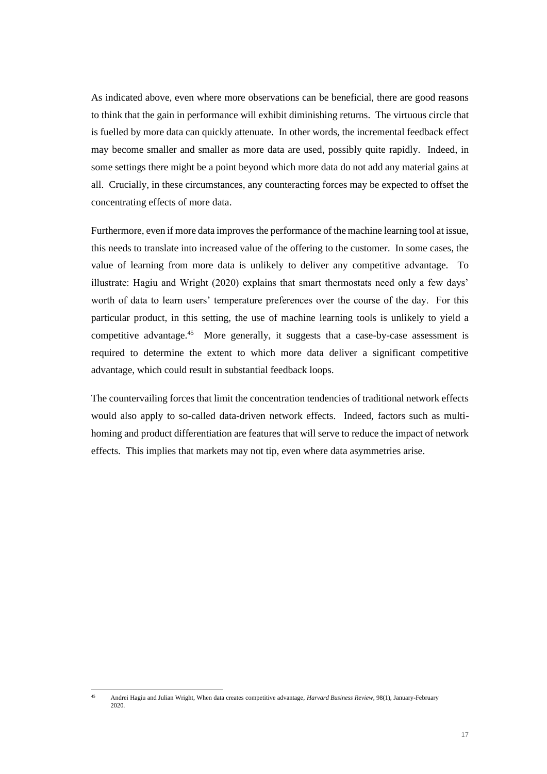As indicated above, even where more observations can be beneficial, there are good reasons to think that the gain in performance will exhibit diminishing returns. The virtuous circle that is fuelled by more data can quickly attenuate. In other words, the incremental feedback effect may become smaller and smaller as more data are used, possibly quite rapidly. Indeed, in some settings there might be a point beyond which more data do not add any material gains at all. Crucially, in these circumstances, any counteracting forces may be expected to offset the concentrating effects of more data.

Furthermore, even if more data improves the performance of the machine learning tool at issue, this needs to translate into increased value of the offering to the customer. In some cases, the value of learning from more data is unlikely to deliver any competitive advantage. To illustrate: Hagiu and Wright (2020) explains that smart thermostats need only a few days' worth of data to learn users' temperature preferences over the course of the day. For this particular product, in this setting, the use of machine learning tools is unlikely to yield a competitive advantage.<sup>45</sup> More generally, it suggests that a case-by-case assessment is required to determine the extent to which more data deliver a significant competitive advantage, which could result in substantial feedback loops.

The countervailing forces that limit the concentration tendencies of traditional network effects would also apply to so-called data-driven network effects. Indeed, factors such as multihoming and product differentiation are features that will serve to reduce the impact of network effects. This implies that markets may not tip, even where data asymmetries arise.

<sup>45</sup> Andrei Hagiu and Julian Wright, When data creates competitive advantage, *Harvard Business Review*, 98(1), January-February 2020.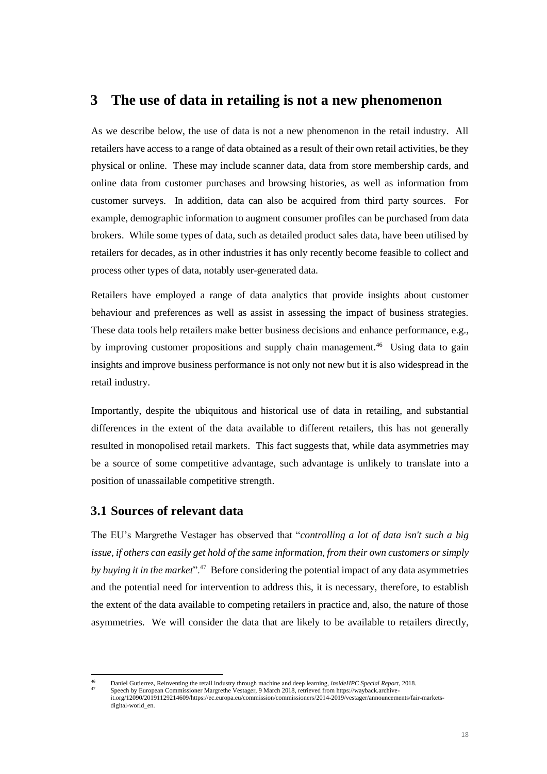# **3 The use of data in retailing is not a new phenomenon**

As we describe below, the use of data is not a new phenomenon in the retail industry. All retailers have access to a range of data obtained as a result of their own retail activities, be they physical or online. These may include scanner data, data from store membership cards, and online data from customer purchases and browsing histories, as well as information from customer surveys. In addition, data can also be acquired from third party sources. For example, demographic information to augment consumer profiles can be purchased from data brokers. While some types of data, such as detailed product sales data, have been utilised by retailers for decades, as in other industries it has only recently become feasible to collect and process other types of data, notably user-generated data.

Retailers have employed a range of data analytics that provide insights about customer behaviour and preferences as well as assist in assessing the impact of business strategies. These data tools help retailers make better business decisions and enhance performance, e.g., by improving customer propositions and supply chain management.<sup>46</sup> Using data to gain insights and improve business performance is not only not new but it is also widespread in the retail industry.

Importantly, despite the ubiquitous and historical use of data in retailing, and substantial differences in the extent of the data available to different retailers, this has not generally resulted in monopolised retail markets. This fact suggests that, while data asymmetries may be a source of some competitive advantage, such advantage is unlikely to translate into a position of unassailable competitive strength.

# **3.1 Sources of relevant data**

The EU's Margrethe Vestager has observed that "*controlling a lot of data isn't such a big issue, if others can easily get hold of the same information, from their own customers or simply*  by buying it in the market".<sup>47</sup> Before considering the potential impact of any data asymmetries and the potential need for intervention to address this, it is necessary, therefore, to establish the extent of the data available to competing retailers in practice and, also, the nature of those asymmetries. We will consider the data that are likely to be available to retailers directly,

<sup>46</sup> Daniel Gutierrez, Reinventing the retail industry through machine and deep learning, *insideHPC Special Report*, 2018.

Speech by European Commissioner Margrethe Vestager, 9 March 2018, retrieved from https://wayback.archiveit.org/12090/20191129214609/https://ec.europa.eu/commission/commissioners/2014-2019/vestager/announcements/fair-marketsdigital-world\_en.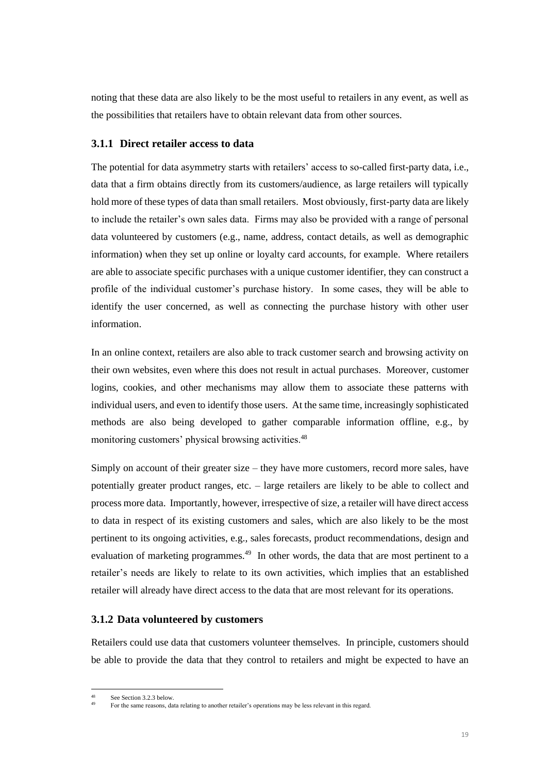noting that these data are also likely to be the most useful to retailers in any event, as well as the possibilities that retailers have to obtain relevant data from other sources.

## **3.1.1 Direct retailer access to data**

The potential for data asymmetry starts with retailers' access to so-called first-party data, i.e., data that a firm obtains directly from its customers/audience, as large retailers will typically hold more of these types of data than small retailers. Most obviously, first-party data are likely to include the retailer's own sales data. Firms may also be provided with a range of personal data volunteered by customers (e.g., name, address, contact details, as well as demographic information) when they set up online or loyalty card accounts, for example. Where retailers are able to associate specific purchases with a unique customer identifier, they can construct a profile of the individual customer's purchase history. In some cases, they will be able to identify the user concerned, as well as connecting the purchase history with other user information.

In an online context, retailers are also able to track customer search and browsing activity on their own websites, even where this does not result in actual purchases. Moreover, customer logins, cookies, and other mechanisms may allow them to associate these patterns with individual users, and even to identify those users. At the same time, increasingly sophisticated methods are also being developed to gather comparable information offline, e.g., by monitoring customers' physical browsing activities.<sup>48</sup>

Simply on account of their greater size – they have more customers, record more sales, have potentially greater product ranges, etc. – large retailers are likely to be able to collect and process more data. Importantly, however, irrespective of size, a retailer will have direct access to data in respect of its existing customers and sales, which are also likely to be the most pertinent to its ongoing activities, e.g., sales forecasts, product recommendations, design and evaluation of marketing programmes.<sup>49</sup> In other words, the data that are most pertinent to a retailer's needs are likely to relate to its own activities, which implies that an established retailer will already have direct access to the data that are most relevant for its operations.

## **3.1.2 Data volunteered by customers**

Retailers could use data that customers volunteer themselves. In principle, customers should be able to provide the data that they control to retailers and might be expected to have an

See Section 3.2.3 below.

<sup>49</sup> For the same reasons, data relating to another retailer's operations may be less relevant in this regard.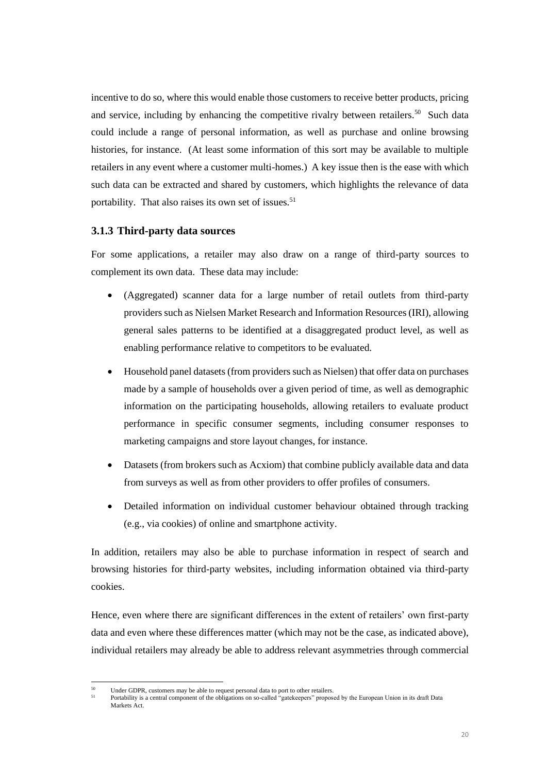incentive to do so, where this would enable those customers to receive better products, pricing and service, including by enhancing the competitive rivalry between retailers.<sup>50</sup> Such data could include a range of personal information, as well as purchase and online browsing histories, for instance. (At least some information of this sort may be available to multiple retailers in any event where a customer multi-homes.) A key issue then is the ease with which such data can be extracted and shared by customers, which highlights the relevance of data portability. That also raises its own set of issues.<sup>51</sup>

## **3.1.3 Third-party data sources**

For some applications, a retailer may also draw on a range of third-party sources to complement its own data. These data may include:

- (Aggregated) scanner data for a large number of retail outlets from third-party providers such as Nielsen Market Research and Information Resources (IRI), allowing general sales patterns to be identified at a disaggregated product level, as well as enabling performance relative to competitors to be evaluated.
- Household panel datasets (from providers such as Nielsen) that offer data on purchases made by a sample of households over a given period of time, as well as demographic information on the participating households, allowing retailers to evaluate product performance in specific consumer segments, including consumer responses to marketing campaigns and store layout changes, for instance.
- Datasets (from brokers such as Acxiom) that combine publicly available data and data from surveys as well as from other providers to offer profiles of consumers.
- Detailed information on individual customer behaviour obtained through tracking (e.g., via cookies) of online and smartphone activity.

In addition, retailers may also be able to purchase information in respect of search and browsing histories for third-party websites, including information obtained via third-party cookies.

Hence, even where there are significant differences in the extent of retailers' own first-party data and even where these differences matter (which may not be the case, as indicated above), individual retailers may already be able to address relevant asymmetries through commercial

Under GDPR, customers may be able to request personal data to port to other retailers.

<sup>51</sup> Portability is a central component of the obligations on so-called "gatekeepers" proposed by the European Union in its draft Data Markets Act.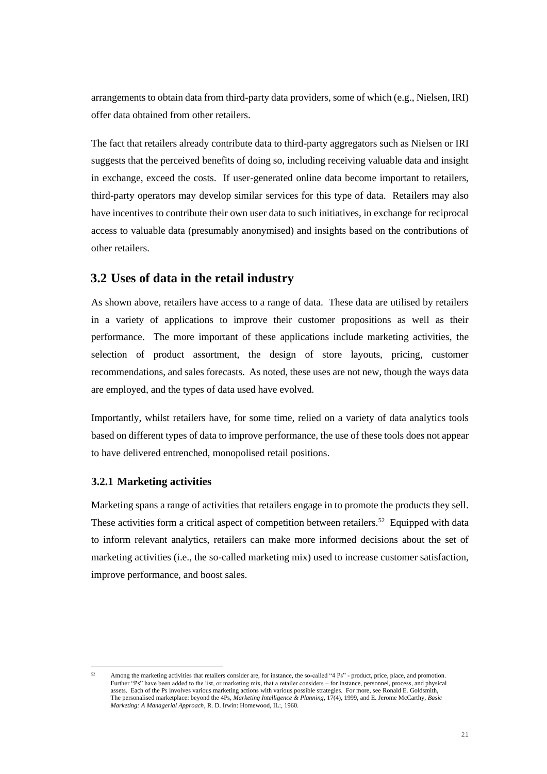arrangements to obtain data from third-party data providers, some of which (e.g., Nielsen, IRI) offer data obtained from other retailers.

The fact that retailers already contribute data to third-party aggregators such as Nielsen or IRI suggests that the perceived benefits of doing so, including receiving valuable data and insight in exchange, exceed the costs. If user-generated online data become important to retailers, third-party operators may develop similar services for this type of data. Retailers may also have incentives to contribute their own user data to such initiatives, in exchange for reciprocal access to valuable data (presumably anonymised) and insights based on the contributions of other retailers.

# **3.2 Uses of data in the retail industry**

As shown above, retailers have access to a range of data. These data are utilised by retailers in a variety of applications to improve their customer propositions as well as their performance. The more important of these applications include marketing activities, the selection of product assortment, the design of store layouts, pricing, customer recommendations, and sales forecasts. As noted, these uses are not new, though the ways data are employed, and the types of data used have evolved.

Importantly, whilst retailers have, for some time, relied on a variety of data analytics tools based on different types of data to improve performance, the use of these tools does not appear to have delivered entrenched, monopolised retail positions.

# **3.2.1 Marketing activities**

Marketing spans a range of activities that retailers engage in to promote the products they sell. These activities form a critical aspect of competition between retailers.<sup>52</sup> Equipped with data to inform relevant analytics, retailers can make more informed decisions about the set of marketing activities (i.e., the so-called marketing mix) used to increase customer satisfaction, improve performance, and boost sales.

Among the marketing activities that retailers consider are, for instance, the so-called "4 Ps" - product, price, place, and promotion. Further "Ps" have been added to the list, or marketing mix, that a retailer considers – for instance, personnel, process, and physical assets. Each of the Ps involves various marketing actions with various possible strategies. For more, see Ronald E. Goldsmith, The personalised marketplace: beyond the 4Ps, *Marketing Intelligence & Planning*, 17(4), 1999, and E. Jerome McCarthy, *Basic Marketing: A Managerial Approach*, R. D. Irwin: Homewood, IL:, 1960.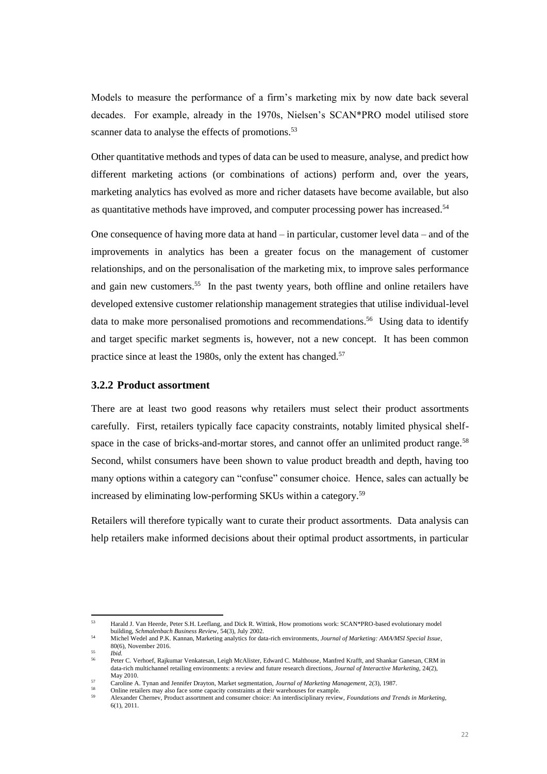Models to measure the performance of a firm's marketing mix by now date back several decades. For example, already in the 1970s, Nielsen's SCAN\*PRO model utilised store scanner data to analyse the effects of promotions.<sup>53</sup>

Other quantitative methods and types of data can be used to measure, analyse, and predict how different marketing actions (or combinations of actions) perform and, over the years, marketing analytics has evolved as more and richer datasets have become available, but also as quantitative methods have improved, and computer processing power has increased.<sup>54</sup>

One consequence of having more data at hand – in particular, customer level data – and of the improvements in analytics has been a greater focus on the management of customer relationships, and on the personalisation of the marketing mix, to improve sales performance and gain new customers.<sup>55</sup> In the past twenty years, both offline and online retailers have developed extensive customer relationship management strategies that utilise individual-level data to make more personalised promotions and recommendations.<sup>56</sup> Using data to identify and target specific market segments is, however, not a new concept. It has been common practice since at least the 1980s, only the extent has changed.<sup>57</sup>

## **3.2.2 Product assortment**

There are at least two good reasons why retailers must select their product assortments carefully. First, retailers typically face capacity constraints, notably limited physical shelfspace in the case of bricks-and-mortar stores, and cannot offer an unlimited product range.<sup>58</sup> Second, whilst consumers have been shown to value product breadth and depth, having too many options within a category can "confuse" consumer choice. Hence, sales can actually be increased by eliminating low-performing SKUs within a category.<sup>59</sup>

Retailers will therefore typically want to curate their product assortments. Data analysis can help retailers make informed decisions about their optimal product assortments, in particular

<sup>53</sup> Harald J. Van Heerde, Peter S.H. Leeflang, and Dick R. Wittink, How promotions work: SCAN\*PRO-based evolutionary model building, *Schmalenbach Business Review,* 54(3), July 2002.

<sup>54</sup> Michel Wedel and P.K. Kannan, Marketing analytics for data-rich environments, *Journal of Marketing: AMA/MSI Special Issue*, 80(6), November 2016.

<sup>55</sup> *Ibid.*

<sup>56</sup> Peter C. Verhoef, Rajkumar Venkatesan, Leigh McAlister, Edward C. Malthouse, Manfred Krafft, and Shankar Ganesan, CRM in data-rich multichannel retailing environments: a review and future research directions, *Journal of Interactive Marketing,* 24(2), May 2010.

<sup>57</sup> Caroline A. Tynan and Jennifer Drayton, Market segmentation, *Journal of Marketing Management,* 2(3), 1987.

Online retailers may also face some capacity constraints at their warehouses for example. <sup>59</sup> Alexander Chernev, Product assortment and consumer choice: An interdisciplinary review, *Foundations and Trends in Marketing,*  6(1), 2011.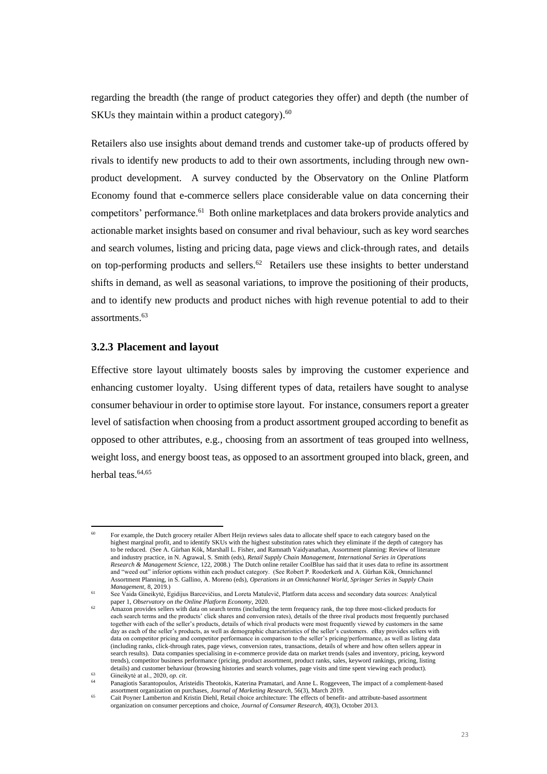regarding the breadth (the range of product categories they offer) and depth (the number of SKUs they maintain within a product category). $60$ 

Retailers also use insights about demand trends and customer take-up of products offered by rivals to identify new products to add to their own assortments, including through new ownproduct development. A survey conducted by the Observatory on the Online Platform Economy found that e-commerce sellers place considerable value on data concerning their competitors' performance.<sup>61</sup> Both online marketplaces and data brokers provide analytics and actionable market insights based on consumer and rival behaviour, such as key word searches and search volumes, listing and pricing data, page views and click-through rates, and details on top-performing products and sellers.<sup>62</sup> Retailers use these insights to better understand shifts in demand, as well as seasonal variations, to improve the positioning of their products, and to identify new products and product niches with high revenue potential to add to their assortments.<sup>63</sup>

## **3.2.3 Placement and layout**

Effective store layout ultimately boosts sales by improving the customer experience and enhancing customer loyalty. Using different types of data, retailers have sought to analyse consumer behaviour in order to optimise store layout. For instance, consumers report a greater level of satisfaction when choosing from a product assortment grouped according to benefit as opposed to other attributes, e.g., choosing from an assortment of teas grouped into wellness, weight loss, and energy boost teas, as opposed to an assortment grouped into black, green, and herbal teas.<sup>64,65</sup>

<sup>60</sup> For example, the Dutch grocery retailer Albert Heijn reviews sales data to allocate shelf space to each category based on the highest marginal profit, and to identify SKUs with the highest substitution rates which they eliminate if the depth of category has to be reduced. (See A. Gürhan Kök, Marshall L. Fisher, and Ramnath Vaidyanathan, Assortment planning: Review of literature and industry practice, in N. Agrawal, S. Smith (eds), *Retail Supply Chain Management, International Series in Operations Research & Management Science,* 122, 2008.) The Dutch online retailer CoolBlue has said that it uses data to refine its assortment and "weed out" inferior options within each product category. (See Robert P. Rooderkerk and A. Gürhan Kök, Omnichannel Assortment Planning, in S. Gallino, A. Moreno (eds), *Operations in an Omnichannel World*, *Springer Series in Supply Chain Management,* 8, 2019.)

<sup>61</sup> See Vaida Gineikytė, Egidijus Barcevičius, and Loreta Matulevič, Platform data access and secondary data sources: Analytical paper 1, *Observatory on the Online Platform Economy*, 2020.

<sup>62</sup> Amazon provides sellers with data on search terms (including the term frequency rank, the top three most-clicked products for each search terms and the products' click shares and conversion rates), details of the three rival products most frequently purchased together with each of the seller's products, details of which rival products were most frequently viewed by customers in the same day as each of the seller's products, as well as demographic characteristics of the seller's customers. eBay provides sellers with data on competitor pricing and competitor performance in comparison to the seller's pricing/performance, as well as listing data (including ranks, click-through rates, page views, conversion rates, transactions, details of where and how often sellers appear in search results). Data companies specialising in e-commerce provide data on market trends (sales and inventory, pricing, keyword trends), competitor business performance (pricing, product assortment, product ranks, sales, keyword rankings, pricing, listing details) and customer behaviour (browsing histories and search volumes, page visits and time spent viewing each product). <sup>63</sup> Gineikytė at al., 2020, *op. cit*.

<sup>64</sup> Panagiotis Sarantopoulos, Aristeidis Theotokis, Katerina Pramatari, and Anne L. Roggeveen, The impact of a complement-based assortment organization on purchases, *Journal of Marketing Research,* 56(3)*,* March 2019.

<sup>65</sup> Cait Poyner Lamberton and Kristin Diehl, Retail choice architecture: The effects of benefit- and attribute-based assortment organization on consumer perceptions and choice, *Journal of Consumer Research,* 40(3), October 2013.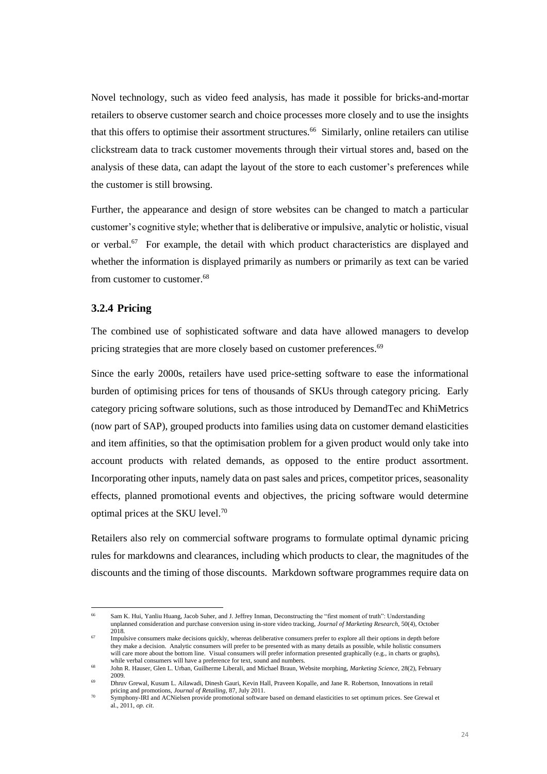Novel technology, such as video feed analysis, has made it possible for bricks-and-mortar retailers to observe customer search and choice processes more closely and to use the insights that this offers to optimise their assortment structures.<sup>66</sup> Similarly, online retailers can utilise clickstream data to track customer movements through their virtual stores and, based on the analysis of these data, can adapt the layout of the store to each customer's preferences while the customer is still browsing.

Further, the appearance and design of store websites can be changed to match a particular customer's cognitive style; whether that is deliberative or impulsive, analytic or holistic, visual or verbal.<sup>67</sup> For example, the detail with which product characteristics are displayed and whether the information is displayed primarily as numbers or primarily as text can be varied from customer to customer.<sup>68</sup>

## **3.2.4 Pricing**

The combined use of sophisticated software and data have allowed managers to develop pricing strategies that are more closely based on customer preferences.<sup>69</sup>

Since the early 2000s, retailers have used price-setting software to ease the informational burden of optimising prices for tens of thousands of SKUs through category pricing. Early category pricing software solutions, such as those introduced by DemandTec and KhiMetrics (now part of SAP), grouped products into families using data on customer demand elasticities and item affinities, so that the optimisation problem for a given product would only take into account products with related demands, as opposed to the entire product assortment. Incorporating other inputs, namely data on past sales and prices, competitor prices, seasonality effects, planned promotional events and objectives, the pricing software would determine optimal prices at the SKU level.<sup>70</sup>

Retailers also rely on commercial software programs to formulate optimal dynamic pricing rules for markdowns and clearances, including which products to clear, the magnitudes of the discounts and the timing of those discounts. Markdown software programmes require data on

<sup>66</sup> Sam K. Hui, Yanliu Huang, Jacob Suher, and J. Jeffrey Inman, Deconstructing the "first moment of truth": Understanding unplanned consideration and purchase conversion using in-store video tracking, *Journal of Marketing Research*, 50(4), October 2018.

Impulsive consumers make decisions quickly, whereas deliberative consumers prefer to explore all their options in depth before they make a decision. Analytic consumers will prefer to be presented with as many details as possible, while holistic consumers will care more about the bottom line. Visual consumers will prefer information presented graphically (e.g., in charts or graphs), while verbal consumers will have a preference for text, sound and numbers.

<sup>68</sup> John R. Hauser, Glen L. Urban, Guilherme Liberali, and Michael Braun, Website morphing, *Marketing Science,* 28(2), February 2009.

<sup>69</sup> Dhruv Grewal, Kusum L. Ailawadi, Dinesh Gauri, Kevin Hall, Praveen Kopalle, and Jane R. Robertson, Innovations in retail pricing and promotions, *Journal of Retailing,* 87, July 2011.

<sup>70</sup> Symphony-IRI and ACNielsen provide promotional software based on demand elasticities to set optimum prices. See Grewal et al., 2011, *op. cit*.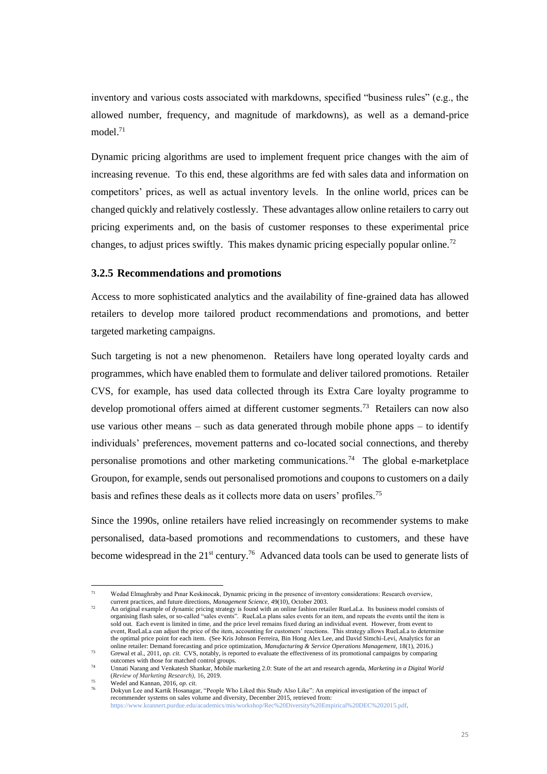inventory and various costs associated with markdowns, specified "business rules" (e.g., the allowed number, frequency, and magnitude of markdowns), as well as a demand-price model.<sup>71</sup>

Dynamic pricing algorithms are used to implement frequent price changes with the aim of increasing revenue. To this end, these algorithms are fed with sales data and information on competitors' prices, as well as actual inventory levels. In the online world, prices can be changed quickly and relatively costlessly. These advantages allow online retailers to carry out pricing experiments and, on the basis of customer responses to these experimental price changes, to adjust prices swiftly. This makes dynamic pricing especially popular online.<sup>72</sup>

#### **3.2.5 Recommendations and promotions**

Access to more sophisticated analytics and the availability of fine-grained data has allowed retailers to develop more tailored product recommendations and promotions, and better targeted marketing campaigns.

Such targeting is not a new phenomenon. Retailers have long operated loyalty cards and programmes, which have enabled them to formulate and deliver tailored promotions. Retailer CVS, for example, has used data collected through its Extra Care loyalty programme to develop promotional offers aimed at different customer segments.<sup>73</sup> Retailers can now also use various other means  $-$  such as data generated through mobile phone apps  $-$  to identify individuals' preferences, movement patterns and co-located social connections, and thereby personalise promotions and other marketing communications.<sup>74</sup> The global e-marketplace Groupon, for example, sends out personalised promotions and coupons to customers on a daily basis and refines these deals as it collects more data on users' profiles.<sup>75</sup>

Since the 1990s, online retailers have relied increasingly on recommender systems to make personalised, data-based promotions and recommendations to customers, and these have become widespread in the  $21^{st}$  century.<sup>76</sup> Advanced data tools can be used to generate lists of

<sup>71</sup> Wedad Elmaghraby and Pınar Keskinocak, Dynamic pricing in the presence of inventory considerations: Research overview, current practices, and future directions, *Management Science,* 49(10), October 2003.

<sup>72</sup> An original example of dynamic pricing strategy is found with an online fashion retailer RueLaLa. Its business model consists of organising flash sales, or so-called "sales events". RueLaLa plans sales events for an item, and repeats the events until the item is sold out. Each event is limited in time, and the price level remains fixed during an individual event. However, from event to event, RueLaLa can adjust the price of the item, accounting for customers' reactions. This strategy allows RueLaLa to determine the optimal price point for each item. (See Kris Johnson Ferreira, Bin Hong Alex Lee, and David Simchi-Levi, Analytics for an online retailer: Demand forecasting and price optimization, *Manufacturing & Service Operations Management*, 18(1), 2016.)<br>Grewal et al., 2011, *op. cit.* CVS, notably, is reported to evaluate the effectiveness of its prom

outcomes with those for matched control groups.

<sup>74</sup> Unnati Narang and Venkatesh Shankar, Mobile marketing 2.0: State of the art and research agenda, *Marketing in a Digital World*  (*Review of Marketing Research),* 16, 2019.

Wedel and Kannan, 2016, op. cit.

<sup>76</sup> Dokyun Lee and Kartik Hosanagar, "People Who Liked this Study Also Like": An empirical investigation of the impact of recommender systems on sales volume and diversity, December 2015, retrieved from: [https://www.krannert.purdue.edu/academics/mis/workshop/Rec%20Diversity%20Empirical%20DEC%202015.pdf.](https://www.krannert.purdue.edu/academics/mis/workshop/Rec%20Diversity%20Empirical%20DEC%202015.pdf)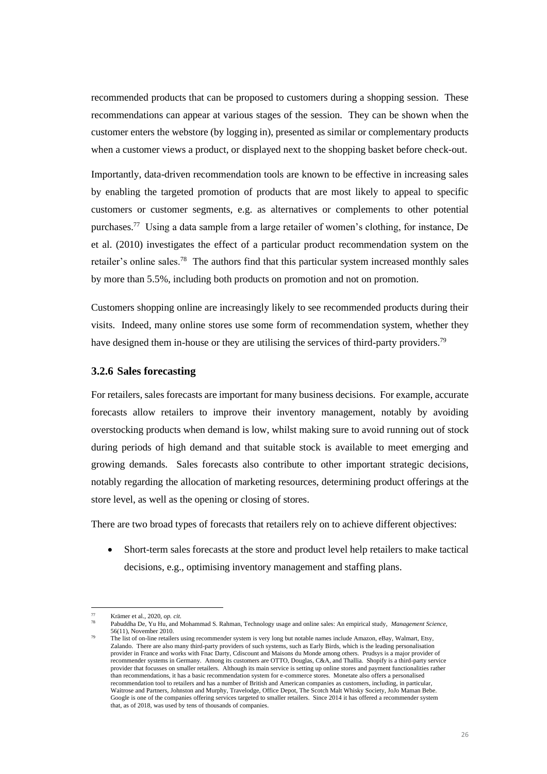recommended products that can be proposed to customers during a shopping session. These recommendations can appear at various stages of the session. They can be shown when the customer enters the webstore (by logging in), presented as similar or complementary products when a customer views a product, or displayed next to the shopping basket before check-out.

Importantly, data-driven recommendation tools are known to be effective in increasing sales by enabling the targeted promotion of products that are most likely to appeal to specific customers or customer segments, e.g. as alternatives or complements to other potential purchases.<sup>77</sup> Using a data sample from a large retailer of women's clothing, for instance, De et al. (2010) investigates the effect of a particular product recommendation system on the retailer's online sales.<sup>78</sup> The authors find that this particular system increased monthly sales by more than 5.5%, including both products on promotion and not on promotion.

Customers shopping online are increasingly likely to see recommended products during their visits. Indeed, many online stores use some form of recommendation system, whether they have designed them in-house or they are utilising the services of third-party providers.<sup>79</sup>

#### **3.2.6 Sales forecasting**

For retailers, sales forecasts are important for many business decisions. For example, accurate forecasts allow retailers to improve their inventory management, notably by avoiding overstocking products when demand is low, whilst making sure to avoid running out of stock during periods of high demand and that suitable stock is available to meet emerging and growing demands. Sales forecasts also contribute to other important strategic decisions, notably regarding the allocation of marketing resources, determining product offerings at the store level, as well as the opening or closing of stores.

There are two broad types of forecasts that retailers rely on to achieve different objectives:

• Short-term sales forecasts at the store and product level help retailers to make tactical decisions, e.g., optimising inventory management and staffing plans.

<sup>77</sup> Krämer et al., 2020, *op. cit*.

<sup>78</sup> Pabuddha De, Yu Hu, and Mohammad S. Rahman, Technology usage and online sales: An empirical study, *Management Science,*  56(11), November 2010.

<sup>79</sup> The list of on-line retailers using recommender system is very long but notable names include Amazon, eBay, Walmart, Etsy, Zalando. There are also many third-party providers of such systems, such as Early Birds, which is the leading personalisation provider in France and works with Fnac Darty, Cdiscount and Maisons du Monde among others. Prudsys is a major provider of recommender systems in Germany. Among its customers are OTTO, Douglas, C&A, and Thallia. Shopify is a third-party service provider that focusses on smaller retailers. Although its main service is setting up online stores and payment functionalities rather than recommendations, it has a basic recommendation system for e-commerce stores. Monetate also offers a personalised recommendation tool to retailers and has a number of British and American companies as customers, including, in particular, Waitrose and Partners, Johnston and Murphy, Travelodge, Office Depot, The Scotch Malt Whisky Society, JoJo Maman Bebe. Google is one of the companies offering services targeted to smaller retailers. Since 2014 it has offered a recommender system that, as of 2018, was used by tens of thousands of companies.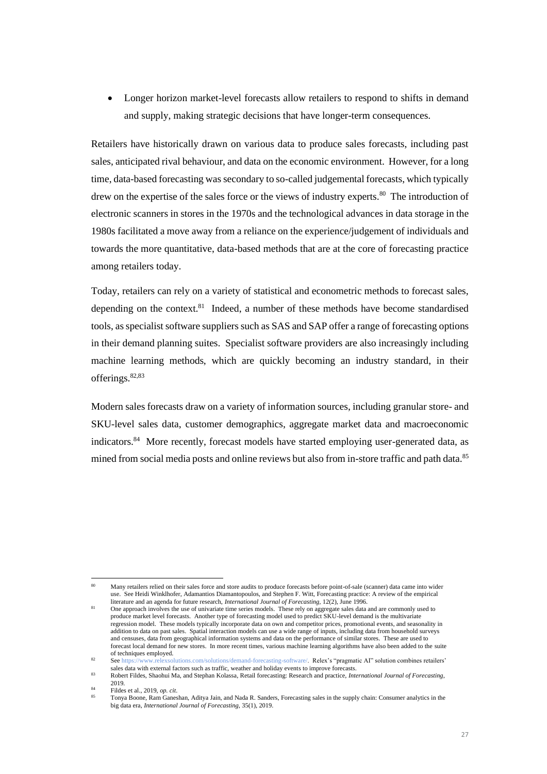• Longer horizon market-level forecasts allow retailers to respond to shifts in demand and supply, making strategic decisions that have longer-term consequences.

Retailers have historically drawn on various data to produce sales forecasts, including past sales, anticipated rival behaviour, and data on the economic environment. However, for a long time, data-based forecasting was secondary to so-called judgemental forecasts, which typically drew on the expertise of the sales force or the views of industry experts.<sup>80</sup> The introduction of electronic scanners in stores in the 1970s and the technological advances in data storage in the 1980s facilitated a move away from a reliance on the experience/judgement of individuals and towards the more quantitative, data-based methods that are at the core of forecasting practice among retailers today.

Today, retailers can rely on a variety of statistical and econometric methods to forecast sales, depending on the context.<sup>81</sup> Indeed, a number of these methods have become standardised tools, as specialist software suppliers such as SAS and SAP offer a range of forecasting options in their demand planning suites. Specialist software providers are also increasingly including machine learning methods, which are quickly becoming an industry standard, in their offerings.<sup>82,83</sup>

Modern sales forecasts draw on a variety of information sources, including granular store- and SKU-level sales data, customer demographics, aggregate market data and macroeconomic indicators.<sup>84</sup> More recently, forecast models have started employing user-generated data, as mined from social media posts and online reviews but also from in-store traffic and path data.<sup>85</sup>

<sup>80</sup> Many retailers relied on their sales force and store audits to produce forecasts before point-of-sale (scanner) data came into wider use. See Heidi Winklhofer, Adamantios Diamantopoulos, and Stephen F. Witt, Forecasting practice: A review of the empirical literature and an agenda for future research, *International Journal of Forecasting,* 12(2), June 1996.

One approach involves the use of univariate time series models. These rely on aggregate sales data and are commonly used to produce market level forecasts. Another type of forecasting model used to predict SKU-level demand is the multivariate regression model. These models typically incorporate data on own and competitor prices, promotional events, and seasonality in addition to data on past sales. Spatial interaction models can use a wide range of inputs, including data from household surveys and censuses, data from geographical information systems and data on the performance of similar stores. These are used to forecast local demand for new stores. In more recent times, various machine learning algorithms have also been added to the suite of techniques employed.<br>See https://www.relexsol

v.relexsolutions.com/solutions/demand-forecasting-software/. Relex's "pragmatic AI" solution combines retailers' sales data with external factors such as traffic, weather and holiday events to improve forecasts.

<sup>83</sup> Robert Fildes, Shaohui Ma, and Stephan Kolassa, Retail forecasting: Research and practice, *International Journal of Forecasting*, 2019.

<sup>84</sup> Fildes et al., 2019, *op. cit*.

<sup>85</sup> Tonya Boone, Ram Ganeshan, Aditya Jain, and Nada R. Sanders, Forecasting sales in the supply chain: Consumer analytics in the big data era, *International Journal of Forecasting,* 35(1), 2019.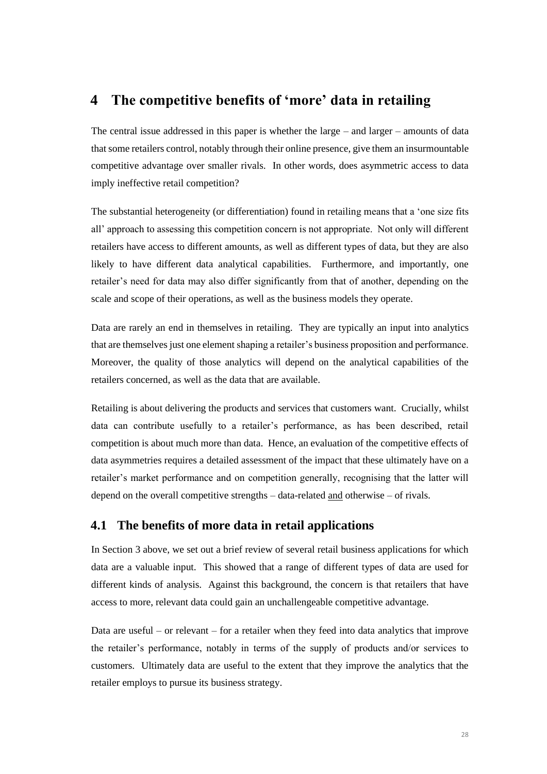# **4 The competitive benefits of 'more' data in retailing**

The central issue addressed in this paper is whether the large – and larger – amounts of data that some retailers control, notably through their online presence, give them an insurmountable competitive advantage over smaller rivals. In other words, does asymmetric access to data imply ineffective retail competition?

The substantial heterogeneity (or differentiation) found in retailing means that a 'one size fits all' approach to assessing this competition concern is not appropriate. Not only will different retailers have access to different amounts, as well as different types of data, but they are also likely to have different data analytical capabilities. Furthermore, and importantly, one retailer's need for data may also differ significantly from that of another, depending on the scale and scope of their operations, as well as the business models they operate.

Data are rarely an end in themselves in retailing. They are typically an input into analytics that are themselves just one element shaping a retailer's business proposition and performance. Moreover, the quality of those analytics will depend on the analytical capabilities of the retailers concerned, as well as the data that are available.

Retailing is about delivering the products and services that customers want. Crucially, whilst data can contribute usefully to a retailer's performance, as has been described, retail competition is about much more than data. Hence, an evaluation of the competitive effects of data asymmetries requires a detailed assessment of the impact that these ultimately have on a retailer's market performance and on competition generally, recognising that the latter will depend on the overall competitive strengths – data-related and otherwise – of rivals.

# **4.1 The benefits of more data in retail applications**

In Section 3 above, we set out a brief review of several retail business applications for which data are a valuable input. This showed that a range of different types of data are used for different kinds of analysis. Against this background, the concern is that retailers that have access to more, relevant data could gain an unchallengeable competitive advantage.

Data are useful – or relevant – for a retailer when they feed into data analytics that improve the retailer's performance, notably in terms of the supply of products and/or services to customers. Ultimately data are useful to the extent that they improve the analytics that the retailer employs to pursue its business strategy.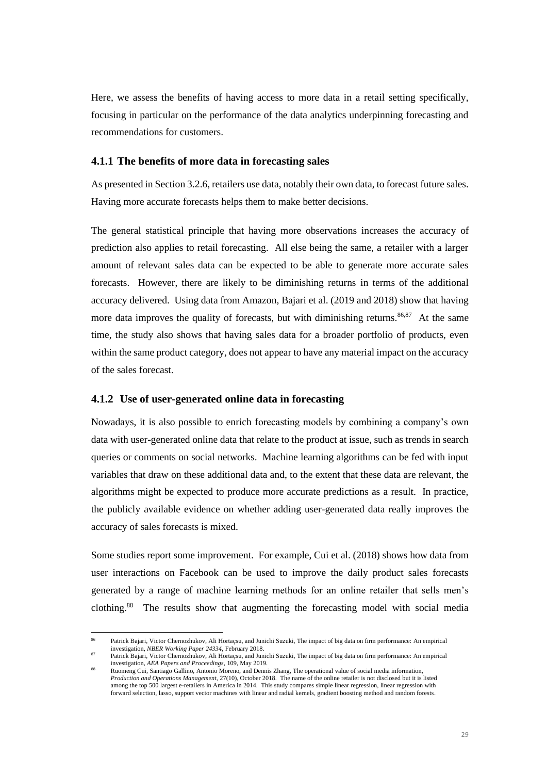Here, we assess the benefits of having access to more data in a retail setting specifically, focusing in particular on the performance of the data analytics underpinning forecasting and recommendations for customers.

#### **4.1.1 The benefits of more data in forecasting sales**

As presented in Section 3.2.6, retailers use data, notably their own data, to forecast future sales. Having more accurate forecasts helps them to make better decisions.

The general statistical principle that having more observations increases the accuracy of prediction also applies to retail forecasting. All else being the same, a retailer with a larger amount of relevant sales data can be expected to be able to generate more accurate sales forecasts. However, there are likely to be diminishing returns in terms of the additional accuracy delivered. Using data from Amazon, Bajari et al. (2019 and 2018) show that having more data improves the quality of forecasts, but with diminishing returns.<sup>86,87</sup> At the same time, the study also shows that having sales data for a broader portfolio of products, even within the same product category, does not appear to have any material impact on the accuracy of the sales forecast.

#### **4.1.2 Use of user-generated online data in forecasting**

Nowadays, it is also possible to enrich forecasting models by combining a company's own data with user-generated online data that relate to the product at issue, such as trends in search queries or comments on social networks. Machine learning algorithms can be fed with input variables that draw on these additional data and, to the extent that these data are relevant, the algorithms might be expected to produce more accurate predictions as a result. In practice, the publicly available evidence on whether adding user-generated data really improves the accuracy of sales forecasts is mixed.

Some studies report some improvement. For example, Cui et al. (2018) shows how data from user interactions on Facebook can be used to improve the daily product sales forecasts generated by a range of machine learning methods for an online retailer that sells men's clothing.<sup>88</sup> The results show that augmenting the forecasting model with social media

<sup>86</sup> Patrick Bajari, Victor Chernozhukov, Ali Hortaçsu, and Junichi Suzuki, The impact of big data on firm performance: An empirical investigation, *NBER Working Paper 24334*, February 2018.

Patrick Bajari, Victor Chernozhukov, Ali Hortaçsu, and Junichi Suzuki, The impact of big data on firm performance: An empirical investigation, *AEA Papers and Proceedings,* 109, May 2019.

<sup>88</sup> Ruomeng Cui, Santiago Gallino, Antonio Moreno, and Dennis Zhang, The operational value of social media information, *Production and Operations Management*, 27(10), October 2018. The name of the online retailer is not disclosed but it is listed among the top 500 largest e-retailers in America in 2014. This study compares simple linear regression, linear regression with forward selection, lasso, support vector machines with linear and radial kernels, gradient boosting method and random forests.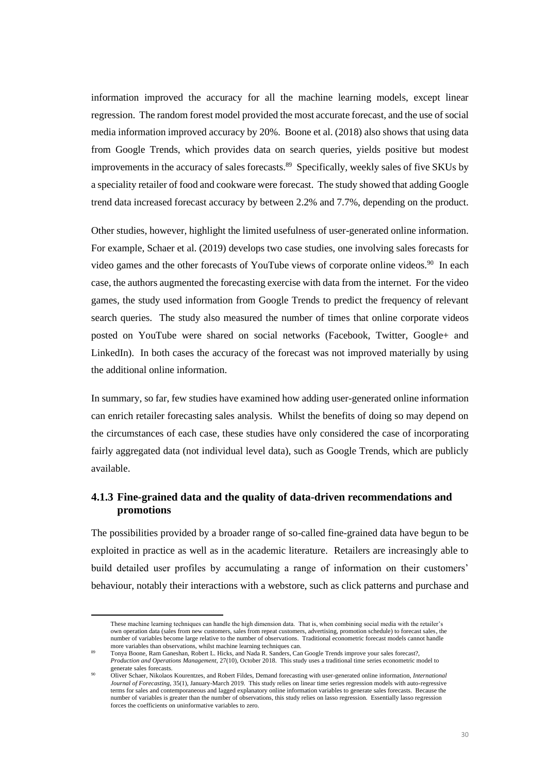information improved the accuracy for all the machine learning models, except linear regression. The random forest model provided the most accurate forecast, and the use of social media information improved accuracy by 20%. Boone et al. (2018) also shows that using data from Google Trends, which provides data on search queries, yields positive but modest improvements in the accuracy of sales forecasts.<sup>89</sup> Specifically, weekly sales of five SKUs by a speciality retailer of food and cookware were forecast. The study showed that adding Google trend data increased forecast accuracy by between 2.2% and 7.7%, depending on the product.

Other studies, however, highlight the limited usefulness of user-generated online information. For example, Schaer et al. (2019) develops two case studies, one involving sales forecasts for video games and the other forecasts of YouTube views of corporate online videos.<sup>90</sup> In each case, the authors augmented the forecasting exercise with data from the internet. For the video games, the study used information from Google Trends to predict the frequency of relevant search queries. The study also measured the number of times that online corporate videos posted on YouTube were shared on social networks (Facebook, Twitter, Google+ and LinkedIn). In both cases the accuracy of the forecast was not improved materially by using the additional online information.

In summary, so far, few studies have examined how adding user-generated online information can enrich retailer forecasting sales analysis. Whilst the benefits of doing so may depend on the circumstances of each case, these studies have only considered the case of incorporating fairly aggregated data (not individual level data), such as Google Trends, which are publicly available.

# **4.1.3 Fine-grained data and the quality of data-driven recommendations and promotions**

The possibilities provided by a broader range of so-called fine-grained data have begun to be exploited in practice as well as in the academic literature. Retailers are increasingly able to build detailed user profiles by accumulating a range of information on their customers' behaviour, notably their interactions with a webstore, such as click patterns and purchase and

These machine learning techniques can handle the high dimension data. That is, when combining social media with the retailer's own operation data (sales from new customers, sales from repeat customers, advertising, promotion schedule) to forecast sales, the number of variables become large relative to the number of observations. Traditional econometric forecast models cannot handle more variables than observations, whilst machine learning techniques can.<br><sup>89</sup> Tonya Boone, Ram Ganeshan, Robert L. Hicks, and Nada R. Sanders, Can Google Trends improve your sales forecast?,

*Production and Operations Management*, 27(10)*,* October 2018. This study uses a traditional time series econometric model to generate sales forecasts.

<sup>90</sup> Oliver Schaer, Nikolaos Kourentzes, and Robert Fildes, Demand forecasting with user-generated online information, *International Journal of Forecasting*, 35(1), January-March 2019. This study relies on linear time series regression models with auto-regressive terms for sales and contemporaneous and lagged explanatory online information variables to generate sales forecasts. Because the number of variables is greater than the number of observations, this study relies on lasso regression. Essentially lasso regression forces the coefficients on uninformative variables to zero.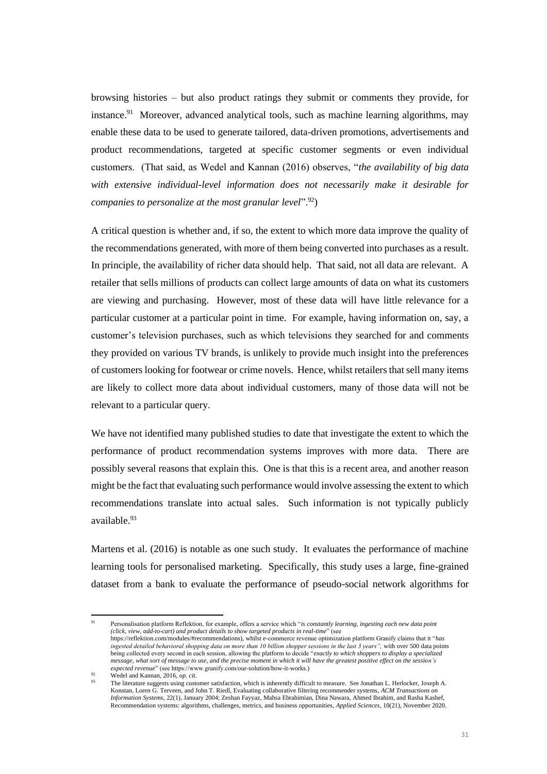browsing histories – but also product ratings they submit or comments they provide, for instance.<sup>91</sup> Moreover, advanced analytical tools, such as machine learning algorithms, may enable these data to be used to generate tailored, data-driven promotions, advertisements and product recommendations, targeted at specific customer segments or even individual customers. (That said, as Wedel and Kannan (2016) observes, "*the availability of big data with extensive individual-level information does not necessarily make it desirable for companies to personalize at the most granular level*".<sup>92</sup>)

A critical question is whether and, if so, the extent to which more data improve the quality of the recommendations generated, with more of them being converted into purchases as a result. In principle, the availability of richer data should help. That said, not all data are relevant. A retailer that sells millions of products can collect large amounts of data on what its customers are viewing and purchasing. However, most of these data will have little relevance for a particular customer at a particular point in time. For example, having information on, say, a customer's television purchases, such as which televisions they searched for and comments they provided on various TV brands, is unlikely to provide much insight into the preferences of customers looking for footwear or crime novels. Hence, whilst retailers that sell many items are likely to collect more data about individual customers, many of those data will not be relevant to a particular query.

We have not identified many published studies to date that investigate the extent to which the performance of product recommendation systems improves with more data. There are possibly several reasons that explain this. One is that this is a recent area, and another reason might be the fact that evaluating such performance would involve assessing the extent to which recommendations translate into actual sales. Such information is not typically publicly available.<sup>93</sup>

Martens et al. (2016) is notable as one such study. It evaluates the performance of machine learning tools for personalised marketing. Specifically, this study uses a large, fine-grained dataset from a bank to evaluate the performance of pseudo-social network algorithms for

<sup>91</sup> Personalisation platform Reflektion, for example, offers a service which "*is constantly learning, ingesting each new data point (click, view, add-to-cart) and product details to show targeted products in real-time*" (see https://reflektion.com/modules/#recommendations), whilst e-commerce revenue optimization platform Granify claims that it "*has ingested detailed behavioral shopping data on more than 10 billion shopper sessions in the last 3 years",* with over 500 data points being collected every second in each session, allowing the platform to decide "*exactly to which shoppers to display a specialized message, what sort of message to use, and the precise moment in which it will have the greatest positive effect on the session's expected revenue*" (see https://www.granify.com/our-solution/how-it-works.)

Wedel and Kannan, 2016, op. cit.

<sup>93</sup> The literature suggests using customer satisfaction, which is inherently difficult to measure. See Jonathan L. Herlocker, Joseph A. Konstan, Loren G. Terveen, and John T. Riedl, Evaluating collaborative filtering recommender systems, *ACM Transactions on Information Systems,* 22(1), January 2004; Zeshan Fayyaz, Mahsa Ebrahimian, Dina Nawara, Ahmed Ibrahim, and Rasha Kashef, Recommendation systems: algorithms, challenges, metrics, and business opportunities, *Applied Sciences,* 10(21), November 2020.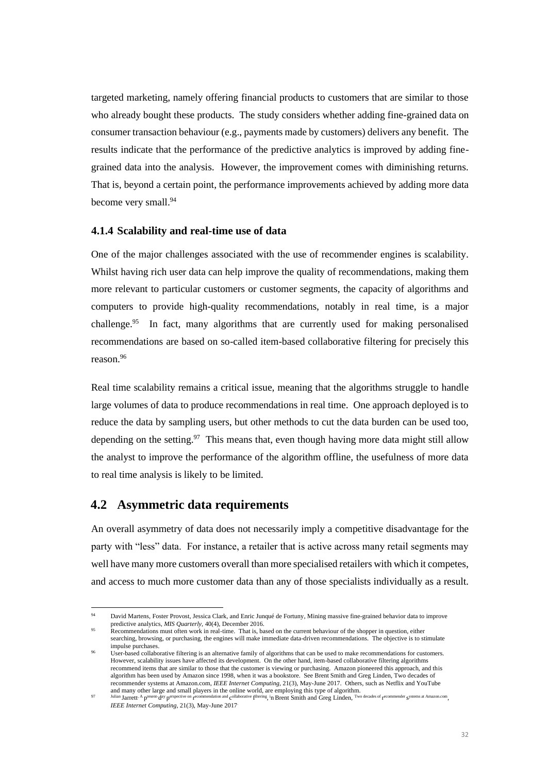targeted marketing, namely offering financial products to customers that are similar to those who already bought these products. The study considers whether adding fine-grained data on consumer transaction behaviour (e.g., payments made by customers) delivers any benefit. The results indicate that the performance of the predictive analytics is improved by adding finegrained data into the analysis. However, the improvement comes with diminishing returns. That is, beyond a certain point, the performance improvements achieved by adding more data become very small. 94

#### **4.1.4 Scalability and real-time use of data**

One of the major challenges associated with the use of recommender engines is scalability. Whilst having rich user data can help improve the quality of recommendations, making them more relevant to particular customers or customer segments, the capacity of algorithms and computers to provide high-quality recommendations, notably in real time, is a major challenge.<sup>95</sup> In fact, many algorithms that are currently used for making personalised recommendations are based on so-called item-based collaborative filtering for precisely this reason.<sup>96</sup>

Real time scalability remains a critical issue, meaning that the algorithms struggle to handle large volumes of data to produce recommendations in real time. One approach deployed is to reduce the data by sampling users, but other methods to cut the data burden can be used too, depending on the setting. $97$  This means that, even though having more data might still allow the analyst to improve the performance of the algorithm offline, the usefulness of more data to real time analysis is likely to be limited.

# **4.2 Asymmetric data requirements**

An overall asymmetry of data does not necessarily imply a competitive disadvantage for the party with "less" data. For instance, a retailer that is active across many retail segments may well have many more customers overall than more specialised retailers with which it competes, and access to much more customer data than any of those specialists individually as a result.

David Martens, Foster Provost, Jessica Clark, and Enric Junqué de Fortuny, Mining massive fine-grained behavior data to improve predictive analytics, *MIS Quarterly,* 40(4), December 2016.

Recommendations must often work in real-time. That is, based on the current behaviour of the shopper in question, either searching, browsing, or purchasing, the engines will make immediate data-driven recommendations. The objective is to stimulate impulse purchases.

User-based collaborative filtering is an alternative family of algorithms that can be used to make recommendations for customers. However, scalability issues have affected its development. On the other hand, item-based collaborative filtering algorithms recommend items that are similar to those that the customer is viewing or purchasing. Amazon pioneered this approach, and this algorithm has been used by Amazon since 1998, when it was a bookstore. See Brent Smith and Greg Linden, Two decades of recommender systems at Amazon.com, *IEEE Internet Computing,* 21(3), May-June 2017. Others, such as Netflix and YouTube

and many other large and small players in the online world, are employing this type of algorithm.<br><sup>97</sup><sup>Julian</sup> Jarrett<sup>, A</sup> p<sup>resent-</sup>d<sup>ay</sup> p<sup>erspective on</sup> r<sup>ecommendation and collaborative</sup> f<sup>iltering</sup>, <sup>i</sup>n Brent Smith *IEEE Internet Computing*, 21(3), May-June 2017.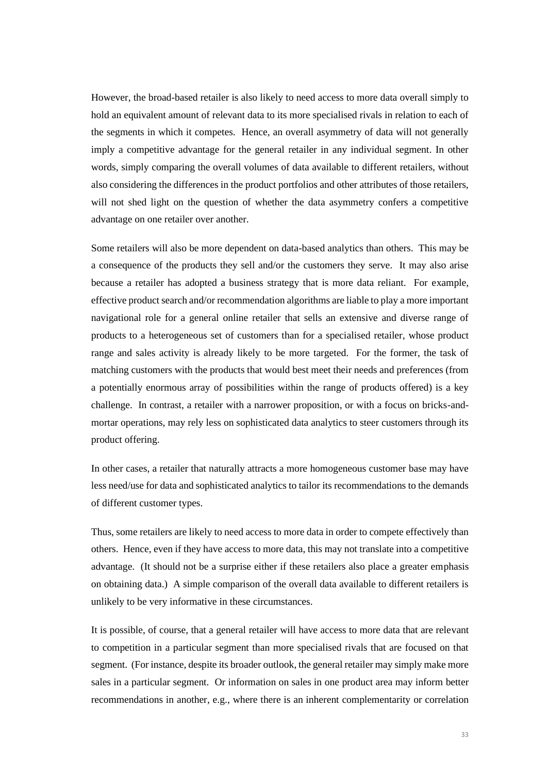However, the broad-based retailer is also likely to need access to more data overall simply to hold an equivalent amount of relevant data to its more specialised rivals in relation to each of the segments in which it competes. Hence, an overall asymmetry of data will not generally imply a competitive advantage for the general retailer in any individual segment. In other words, simply comparing the overall volumes of data available to different retailers, without also considering the differences in the product portfolios and other attributes of those retailers, will not shed light on the question of whether the data asymmetry confers a competitive advantage on one retailer over another.

Some retailers will also be more dependent on data-based analytics than others. This may be a consequence of the products they sell and/or the customers they serve. It may also arise because a retailer has adopted a business strategy that is more data reliant. For example, effective product search and/or recommendation algorithms are liable to play a more important navigational role for a general online retailer that sells an extensive and diverse range of products to a heterogeneous set of customers than for a specialised retailer, whose product range and sales activity is already likely to be more targeted. For the former, the task of matching customers with the products that would best meet their needs and preferences (from a potentially enormous array of possibilities within the range of products offered) is a key challenge. In contrast, a retailer with a narrower proposition, or with a focus on bricks-andmortar operations, may rely less on sophisticated data analytics to steer customers through its product offering.

In other cases, a retailer that naturally attracts a more homogeneous customer base may have less need/use for data and sophisticated analytics to tailor its recommendations to the demands of different customer types.

Thus, some retailers are likely to need access to more data in order to compete effectively than others. Hence, even if they have access to more data, this may not translate into a competitive advantage. (It should not be a surprise either if these retailers also place a greater emphasis on obtaining data.) A simple comparison of the overall data available to different retailers is unlikely to be very informative in these circumstances.

It is possible, of course, that a general retailer will have access to more data that are relevant to competition in a particular segment than more specialised rivals that are focused on that segment. (For instance, despite its broader outlook, the general retailer may simply make more sales in a particular segment. Or information on sales in one product area may inform better recommendations in another, e.g., where there is an inherent complementarity or correlation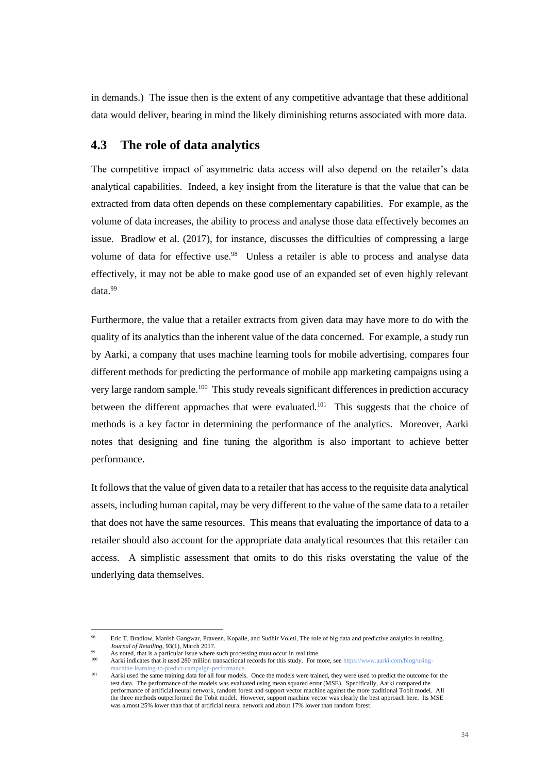in demands.) The issue then is the extent of any competitive advantage that these additional data would deliver, bearing in mind the likely diminishing returns associated with more data.

# **4.3 The role of data analytics**

The competitive impact of asymmetric data access will also depend on the retailer's data analytical capabilities. Indeed, a key insight from the literature is that the value that can be extracted from data often depends on these complementary capabilities. For example, as the volume of data increases, the ability to process and analyse those data effectively becomes an issue. Bradlow et al. (2017), for instance, discusses the difficulties of compressing a large volume of data for effective use.<sup>98</sup> Unless a retailer is able to process and analyse data effectively, it may not be able to make good use of an expanded set of even highly relevant data.<sup>99</sup>

Furthermore, the value that a retailer extracts from given data may have more to do with the quality of its analytics than the inherent value of the data concerned. For example, a study run by Aarki, a company that uses machine learning tools for mobile advertising, compares four different methods for predicting the performance of mobile app marketing campaigns using a very large random sample.<sup>100</sup> This study reveals significant differences in prediction accuracy between the different approaches that were evaluated.<sup>101</sup> This suggests that the choice of methods is a key factor in determining the performance of the analytics. Moreover, Aarki notes that designing and fine tuning the algorithm is also important to achieve better performance.

It follows that the value of given data to a retailer that has access to the requisite data analytical assets, including human capital, may be very different to the value of the same data to a retailer that does not have the same resources. This means that evaluating the importance of data to a retailer should also account for the appropriate data analytical resources that this retailer can access. A simplistic assessment that omits to do this risks overstating the value of the underlying data themselves.

<sup>98</sup> Eric T. Bradlow, Manish Gangwar, Praveen. Kopalle, and Sudhir Voleti, The role of big data and predictive analytics in retailing, *Journal of Retailing,* 93(1), March 2017.

As noted, that is a particular issue where such processing must occur in real time.

<sup>100</sup> Aarki indicates that it used 280 million transactional records for this study. For more, se[e https://www.aarki.com/blog/using](https://www.aarki.com/blog/using-machine-learning-to-predict-campaign-performance)[machine-learning-to-predict-campaign-performance.](https://www.aarki.com/blog/using-machine-learning-to-predict-campaign-performance)

Aarki used the same training data for all four models. Once the models were trained, they were used to predict the outcome for the test data. The performance of the models was evaluated using mean squared error (MSE). Specifically, Aarki compared the performance of artificial neural network, random forest and support vector machine against the more traditional Tobit model. All the three methods outperformed the Tobit model. However, support machine vector was clearly the best approach here. Its MSE was almost 25% lower than that of artificial neural network and about 17% lower than random forest.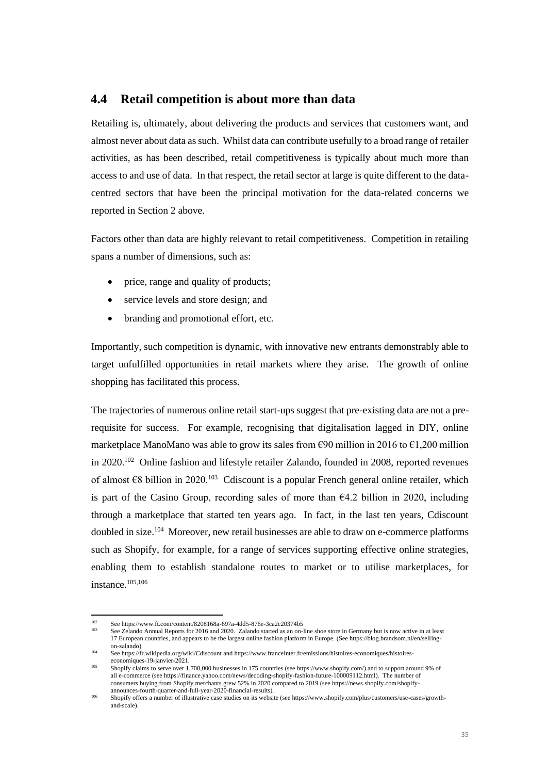# **4.4 Retail competition is about more than data**

Retailing is, ultimately, about delivering the products and services that customers want, and almost never about data as such. Whilst data can contribute usefully to a broad range of retailer activities, as has been described, retail competitiveness is typically about much more than access to and use of data. In that respect, the retail sector at large is quite different to the datacentred sectors that have been the principal motivation for the data-related concerns we reported in Section 2 above.

Factors other than data are highly relevant to retail competitiveness. Competition in retailing spans a number of dimensions, such as:

- price, range and quality of products;
- service levels and store design; and
- branding and promotional effort, etc.

Importantly, such competition is dynamic, with innovative new entrants demonstrably able to target unfulfilled opportunities in retail markets where they arise. The growth of online shopping has facilitated this process.

The trajectories of numerous online retail start-ups suggest that pre-existing data are not a prerequisite for success. For example, recognising that digitalisation lagged in DIY, online marketplace ManoMano was able to grow its sales from  $\epsilon$ 90 million in 2016 to  $\epsilon$ 1,200 million in 2020.<sup>102</sup> Online fashion and lifestyle retailer Zalando, founded in 2008, reported revenues of almost €8 billion in 2020.<sup>103</sup> Cdiscount is a popular French general online retailer, which is part of the Casino Group, recording sales of more than  $64.2$  billion in 2020, including through a marketplace that started ten years ago. In fact, in the last ten years, Cdiscount doubled in size.<sup>104</sup> Moreover, new retail businesses are able to draw on e-commerce platforms such as Shopify, for example, for a range of services supporting effective online strategies, enabling them to establish standalone routes to market or to utilise marketplaces, for instance.105,106

See https://www.ft.com/content/8208168a-697a-4dd5-876e-3ca2c20374b5

See Zelando Annual Reports for 2016 and 2020. Zalando started as an on-line shoe store in Germany but is now active in at least 17 European countries, and appears to be the largest online fashion platform in Europe. (See https://blog.brandsom.nl/en/sellingon-zalando)

<sup>104</sup> See https://fr.wikipedia.org/wiki/Cdiscount and https://www.franceinter.fr/emissions/histoires-economiques/histoireseconomiques-19-janvier-2021.

<sup>105</sup> Shopify claims to serve over 1,700,000 businesses in 175 countries (see https://www.shopify.com/) and to support around 9% of all e-commerce (see https://finance.yahoo.com/news/decoding-shopify-fashion-future-100009112.html). The number of consumers buying from Shopify merchants grew 52% in 2020 compared to 2019 (see https://news.shopify.com/shopifyannounces-fourth-quarter-and-full-year-2020-financial-results).

<sup>106</sup> Shopify offers a number of illustrative case studies on its website (see https://www.shopify.com/plus/customers/use-cases/growthand-scale).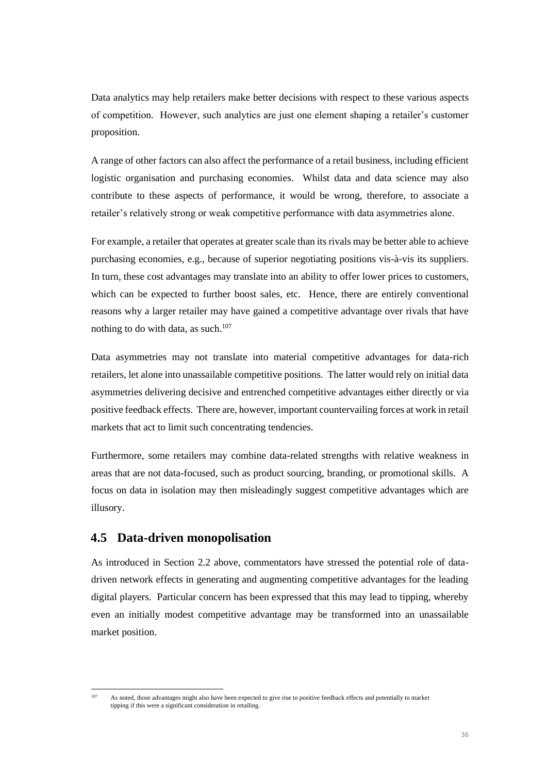Data analytics may help retailers make better decisions with respect to these various aspects of competition. However, such analytics are just one element shaping a retailer's customer proposition.

A range of other factors can also affect the performance of a retail business, including efficient logistic organisation and purchasing economies. Whilst data and data science may also contribute to these aspects of performance, it would be wrong, therefore, to associate a retailer's relatively strong or weak competitive performance with data asymmetries alone.

For example, a retailer that operates at greater scale than its rivals may be better able to achieve purchasing economies, e.g., because of superior negotiating positions vis-à-vis its suppliers. In turn, these cost advantages may translate into an ability to offer lower prices to customers, which can be expected to further boost sales, etc. Hence, there are entirely conventional reasons why a larger retailer may have gained a competitive advantage over rivals that have nothing to do with data, as such.<sup>107</sup>

Data asymmetries may not translate into material competitive advantages for data-rich retailers, let alone into unassailable competitive positions. The latter would rely on initial data asymmetries delivering decisive and entrenched competitive advantages either directly or via positive feedback effects. There are, however, important countervailing forces at work in retail markets that act to limit such concentrating tendencies.

Furthermore, some retailers may combine data-related strengths with relative weakness in areas that are not data-focused, such as product sourcing, branding, or promotional skills. A focus on data in isolation may then misleadingly suggest competitive advantages which are illusory.

# **4.5 Data-driven monopolisation**

As introduced in Section 2.2 above, commentators have stressed the potential role of datadriven network effects in generating and augmenting competitive advantages for the leading digital players. Particular concern has been expressed that this may lead to tipping, whereby even an initially modest competitive advantage may be transformed into an unassailable market position.

As noted, those advantages might also have been expected to give rise to positive feedback effects and potentially to market tipping if this were a significant consideration in retailing.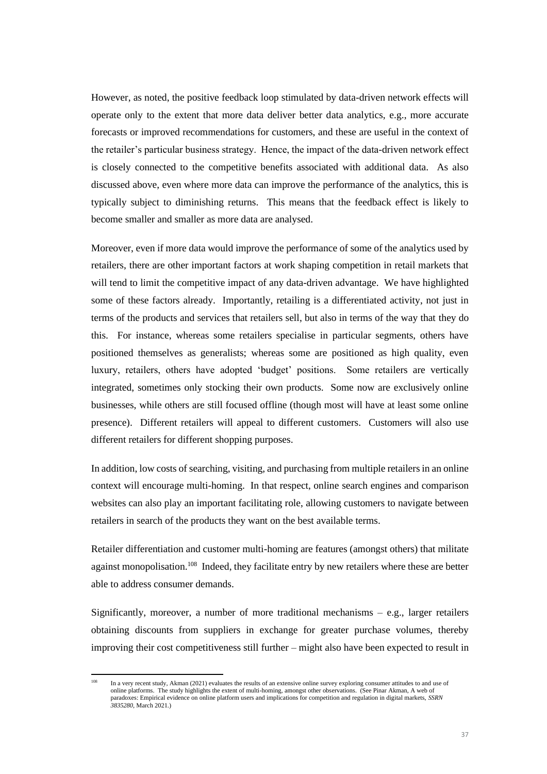However, as noted, the positive feedback loop stimulated by data-driven network effects will operate only to the extent that more data deliver better data analytics, e.g., more accurate forecasts or improved recommendations for customers, and these are useful in the context of the retailer's particular business strategy. Hence, the impact of the data-driven network effect is closely connected to the competitive benefits associated with additional data. As also discussed above, even where more data can improve the performance of the analytics, this is typically subject to diminishing returns. This means that the feedback effect is likely to become smaller and smaller as more data are analysed.

Moreover, even if more data would improve the performance of some of the analytics used by retailers, there are other important factors at work shaping competition in retail markets that will tend to limit the competitive impact of any data-driven advantage. We have highlighted some of these factors already. Importantly, retailing is a differentiated activity, not just in terms of the products and services that retailers sell, but also in terms of the way that they do this. For instance, whereas some retailers specialise in particular segments, others have positioned themselves as generalists; whereas some are positioned as high quality, even luxury, retailers, others have adopted 'budget' positions. Some retailers are vertically integrated, sometimes only stocking their own products. Some now are exclusively online businesses, while others are still focused offline (though most will have at least some online presence). Different retailers will appeal to different customers. Customers will also use different retailers for different shopping purposes.

In addition, low costs of searching, visiting, and purchasing from multiple retailers in an online context will encourage multi-homing. In that respect, online search engines and comparison websites can also play an important facilitating role, allowing customers to navigate between retailers in search of the products they want on the best available terms.

Retailer differentiation and customer multi-homing are features (amongst others) that militate against monopolisation.<sup>108</sup> Indeed, they facilitate entry by new retailers where these are better able to address consumer demands.

Significantly, moreover, a number of more traditional mechanisms  $-$  e.g., larger retailers obtaining discounts from suppliers in exchange for greater purchase volumes, thereby improving their cost competitiveness still further – might also have been expected to result in

In a very recent study, Akman (2021) evaluates the results of an extensive online survey exploring consumer attitudes to and use of online platforms. The study highlights the extent of multi-homing, amongst other observations. (See Pinar Akman, A web of paradoxes: Empirical evidence on online platform users and implications for competition and regulation in digital markets, *SSRN 3835280*, March 2021.)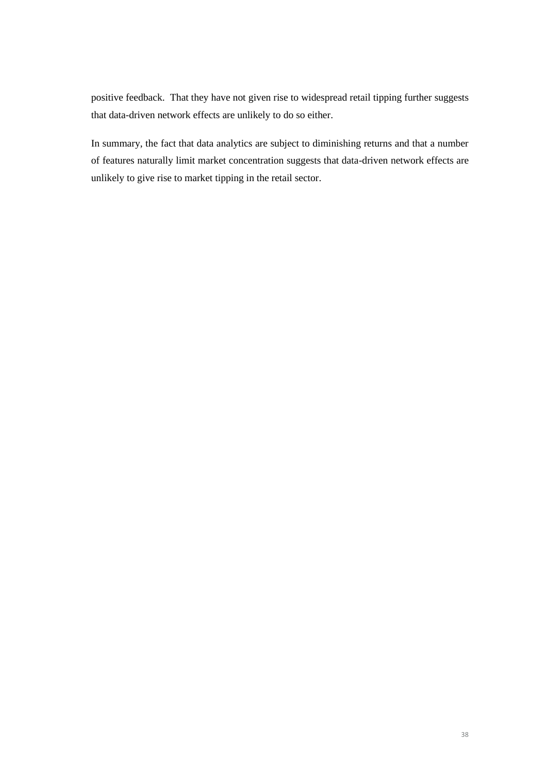positive feedback. That they have not given rise to widespread retail tipping further suggests that data-driven network effects are unlikely to do so either.

In summary, the fact that data analytics are subject to diminishing returns and that a number of features naturally limit market concentration suggests that data-driven network effects are unlikely to give rise to market tipping in the retail sector.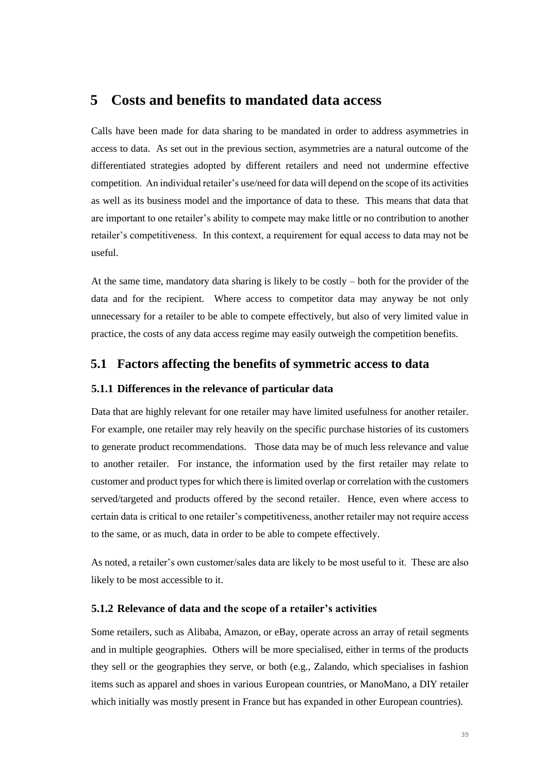# **5 Costs and benefits to mandated data access**

Calls have been made for data sharing to be mandated in order to address asymmetries in access to data. As set out in the previous section, asymmetries are a natural outcome of the differentiated strategies adopted by different retailers and need not undermine effective competition. An individual retailer's use/need for data will depend on the scope of its activities as well as its business model and the importance of data to these. This means that data that are important to one retailer's ability to compete may make little or no contribution to another retailer's competitiveness. In this context, a requirement for equal access to data may not be useful.

At the same time, mandatory data sharing is likely to be costly – both for the provider of the data and for the recipient. Where access to competitor data may anyway be not only unnecessary for a retailer to be able to compete effectively, but also of very limited value in practice, the costs of any data access regime may easily outweigh the competition benefits.

# **5.1 Factors affecting the benefits of symmetric access to data**

## **5.1.1 Differences in the relevance of particular data**

Data that are highly relevant for one retailer may have limited usefulness for another retailer. For example, one retailer may rely heavily on the specific purchase histories of its customers to generate product recommendations. Those data may be of much less relevance and value to another retailer. For instance, the information used by the first retailer may relate to customer and product types for which there is limited overlap or correlation with the customers served/targeted and products offered by the second retailer. Hence, even where access to certain data is critical to one retailer's competitiveness, another retailer may not require access to the same, or as much, data in order to be able to compete effectively.

As noted, a retailer's own customer/sales data are likely to be most useful to it. These are also likely to be most accessible to it.

#### **5.1.2 Relevance of data and the scope of a retailer's activities**

Some retailers, such as Alibaba, Amazon, or eBay, operate across an array of retail segments and in multiple geographies. Others will be more specialised, either in terms of the products they sell or the geographies they serve, or both (e.g., Zalando, which specialises in fashion items such as apparel and shoes in various European countries, or ManoMano, a DIY retailer which initially was mostly present in France but has expanded in other European countries).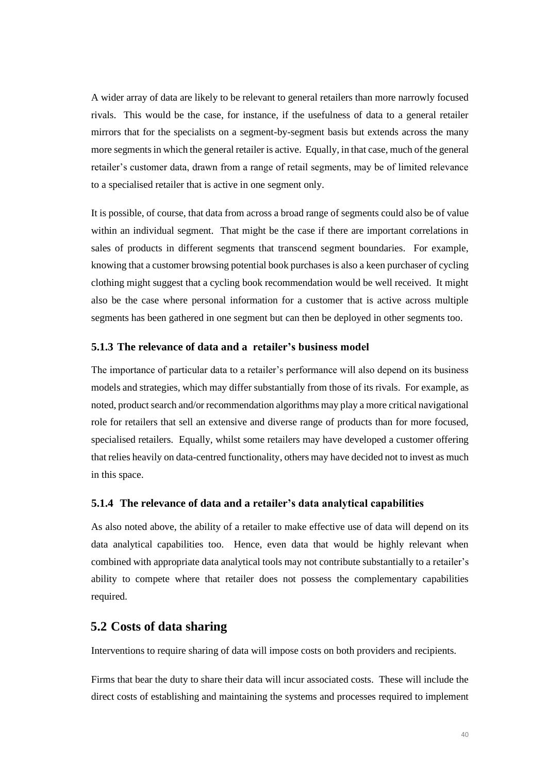A wider array of data are likely to be relevant to general retailers than more narrowly focused rivals. This would be the case, for instance, if the usefulness of data to a general retailer mirrors that for the specialists on a segment-by-segment basis but extends across the many more segments in which the general retailer is active. Equally, in that case, much of the general retailer's customer data, drawn from a range of retail segments, may be of limited relevance to a specialised retailer that is active in one segment only.

It is possible, of course, that data from across a broad range of segments could also be of value within an individual segment. That might be the case if there are important correlations in sales of products in different segments that transcend segment boundaries. For example, knowing that a customer browsing potential book purchases is also a keen purchaser of cycling clothing might suggest that a cycling book recommendation would be well received. It might also be the case where personal information for a customer that is active across multiple segments has been gathered in one segment but can then be deployed in other segments too.

## **5.1.3 The relevance of data and a retailer's business model**

The importance of particular data to a retailer's performance will also depend on its business models and strategies, which may differ substantially from those of its rivals. For example, as noted, product search and/or recommendation algorithms may play a more critical navigational role for retailers that sell an extensive and diverse range of products than for more focused, specialised retailers. Equally, whilst some retailers may have developed a customer offering that relies heavily on data-centred functionality, others may have decided not to invest as much in this space.

#### **5.1.4 The relevance of data and a retailer's data analytical capabilities**

As also noted above, the ability of a retailer to make effective use of data will depend on its data analytical capabilities too. Hence, even data that would be highly relevant when combined with appropriate data analytical tools may not contribute substantially to a retailer's ability to compete where that retailer does not possess the complementary capabilities required.

# **5.2 Costs of data sharing**

Interventions to require sharing of data will impose costs on both providers and recipients.

Firms that bear the duty to share their data will incur associated costs. These will include the direct costs of establishing and maintaining the systems and processes required to implement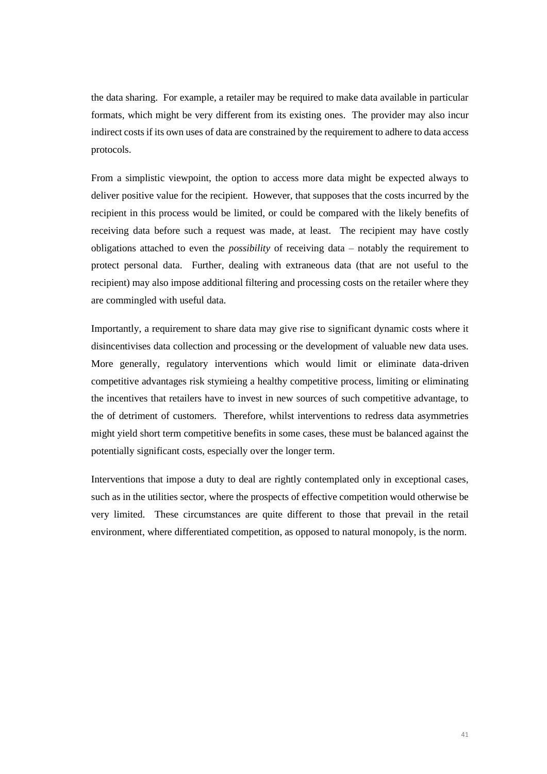the data sharing. For example, a retailer may be required to make data available in particular formats, which might be very different from its existing ones. The provider may also incur indirect costs if its own uses of data are constrained by the requirement to adhere to data access protocols.

From a simplistic viewpoint, the option to access more data might be expected always to deliver positive value for the recipient. However, that supposes that the costs incurred by the recipient in this process would be limited, or could be compared with the likely benefits of receiving data before such a request was made, at least. The recipient may have costly obligations attached to even the *possibility* of receiving data – notably the requirement to protect personal data. Further, dealing with extraneous data (that are not useful to the recipient) may also impose additional filtering and processing costs on the retailer where they are commingled with useful data.

Importantly, a requirement to share data may give rise to significant dynamic costs where it disincentivises data collection and processing or the development of valuable new data uses. More generally, regulatory interventions which would limit or eliminate data-driven competitive advantages risk stymieing a healthy competitive process, limiting or eliminating the incentives that retailers have to invest in new sources of such competitive advantage, to the of detriment of customers. Therefore, whilst interventions to redress data asymmetries might yield short term competitive benefits in some cases, these must be balanced against the potentially significant costs, especially over the longer term.

Interventions that impose a duty to deal are rightly contemplated only in exceptional cases, such as in the utilities sector, where the prospects of effective competition would otherwise be very limited. These circumstances are quite different to those that prevail in the retail environment, where differentiated competition, as opposed to natural monopoly, is the norm.